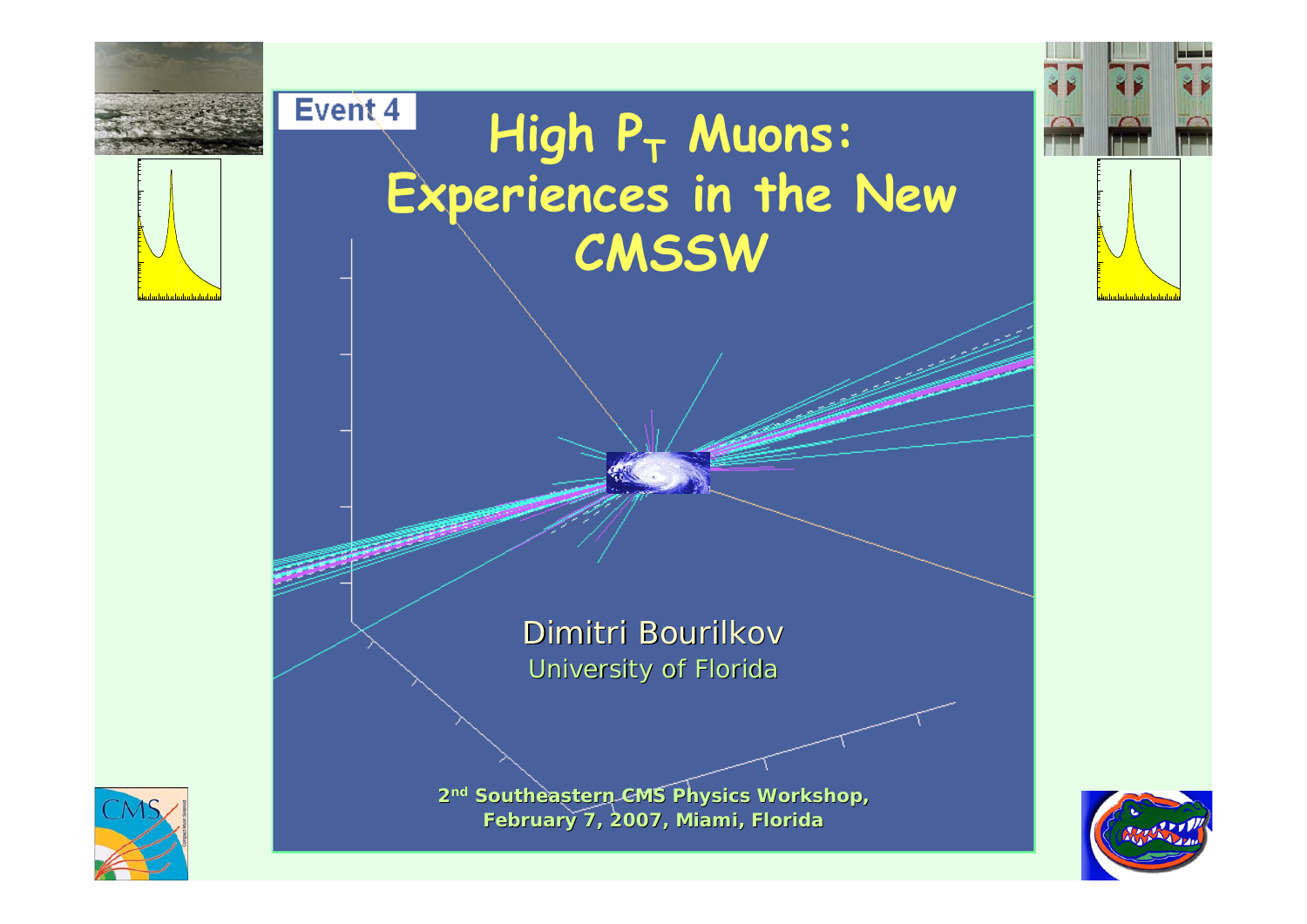

2<sup>nd</sup> Southeastern CMS Physics Workshop, **February 7, 2007, Miami, Florida**



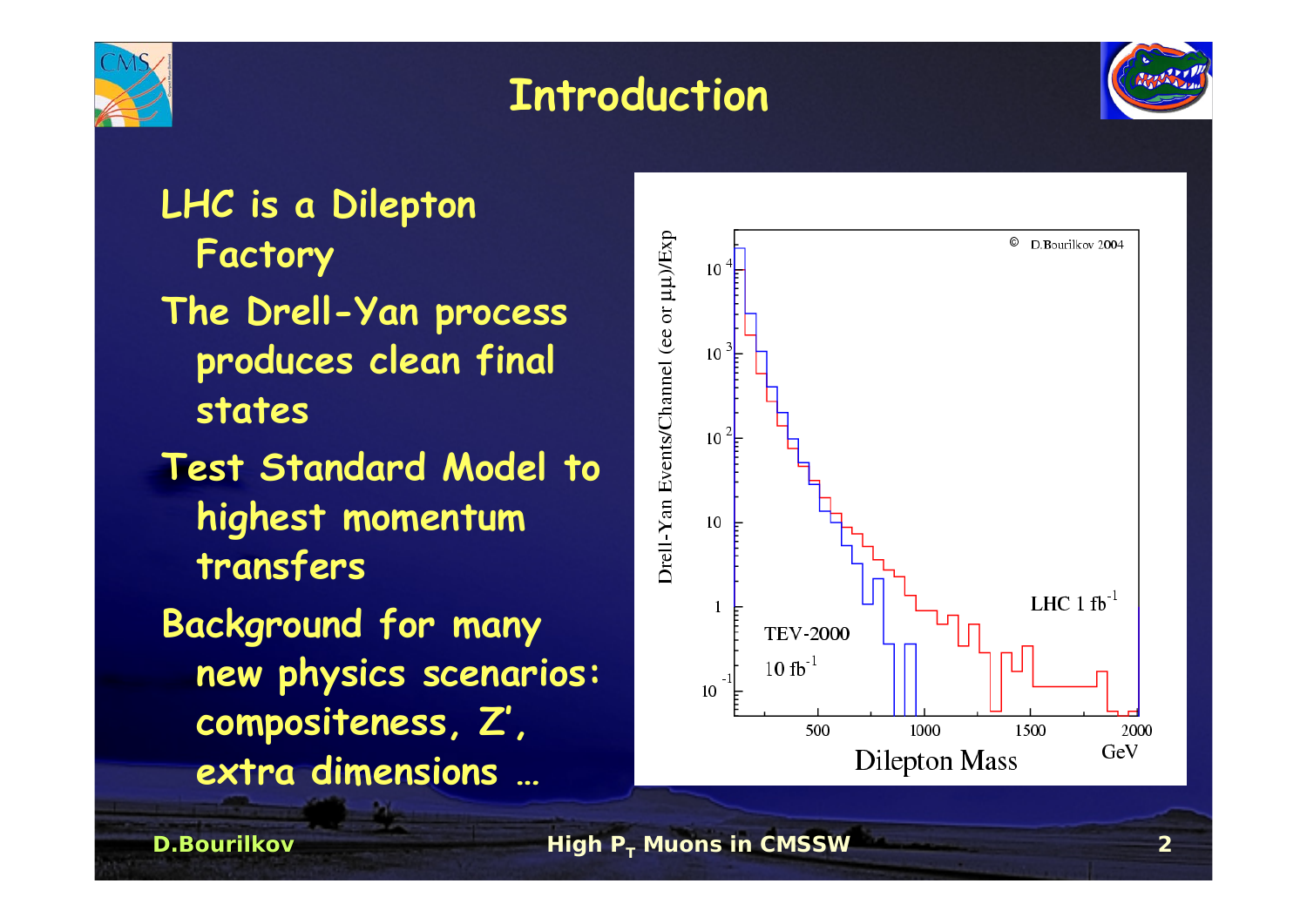

#### **Introduction**



**LHC is a Dilepton Factory The Drell-Yan process produces clean final states Test Standard Model to highest momentum transfers Background for many new physics scenarios: compositeness, Z', extra dimensions …**

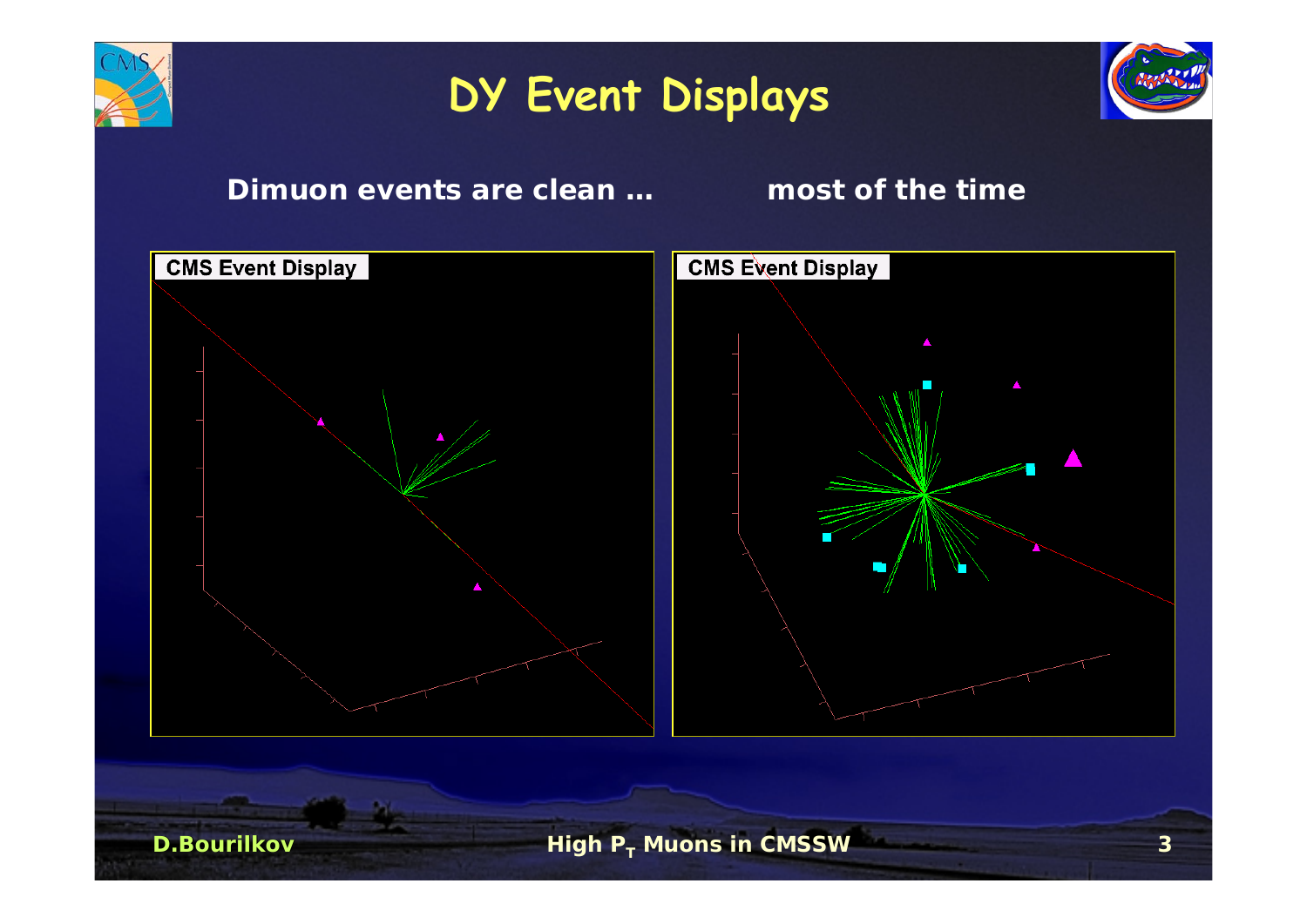

## **DY Event Displays**



#### **Dimuon events are clean … most of the time**

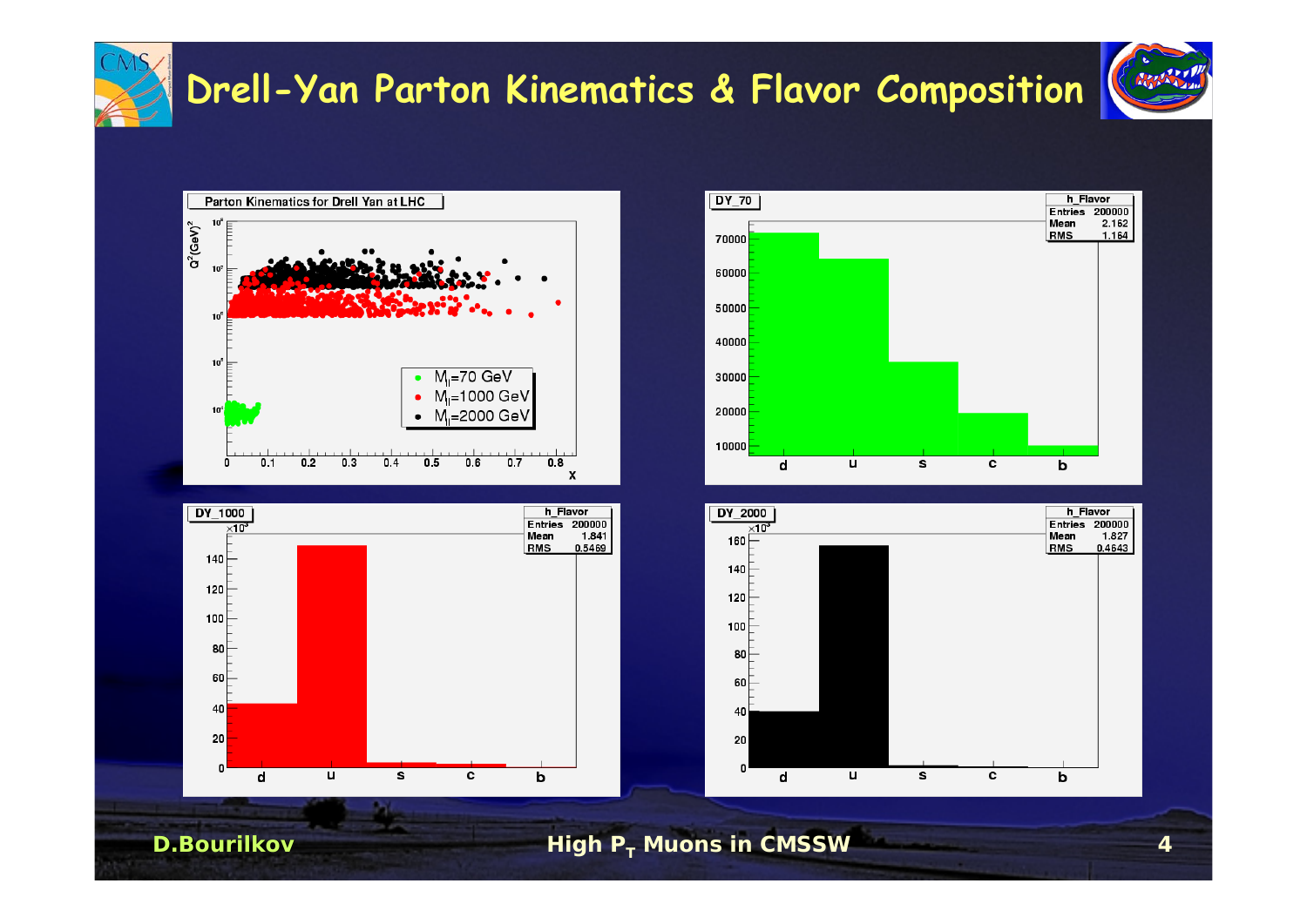

#### **Drell-Yan Parton Kinematics & Flavor Composition**

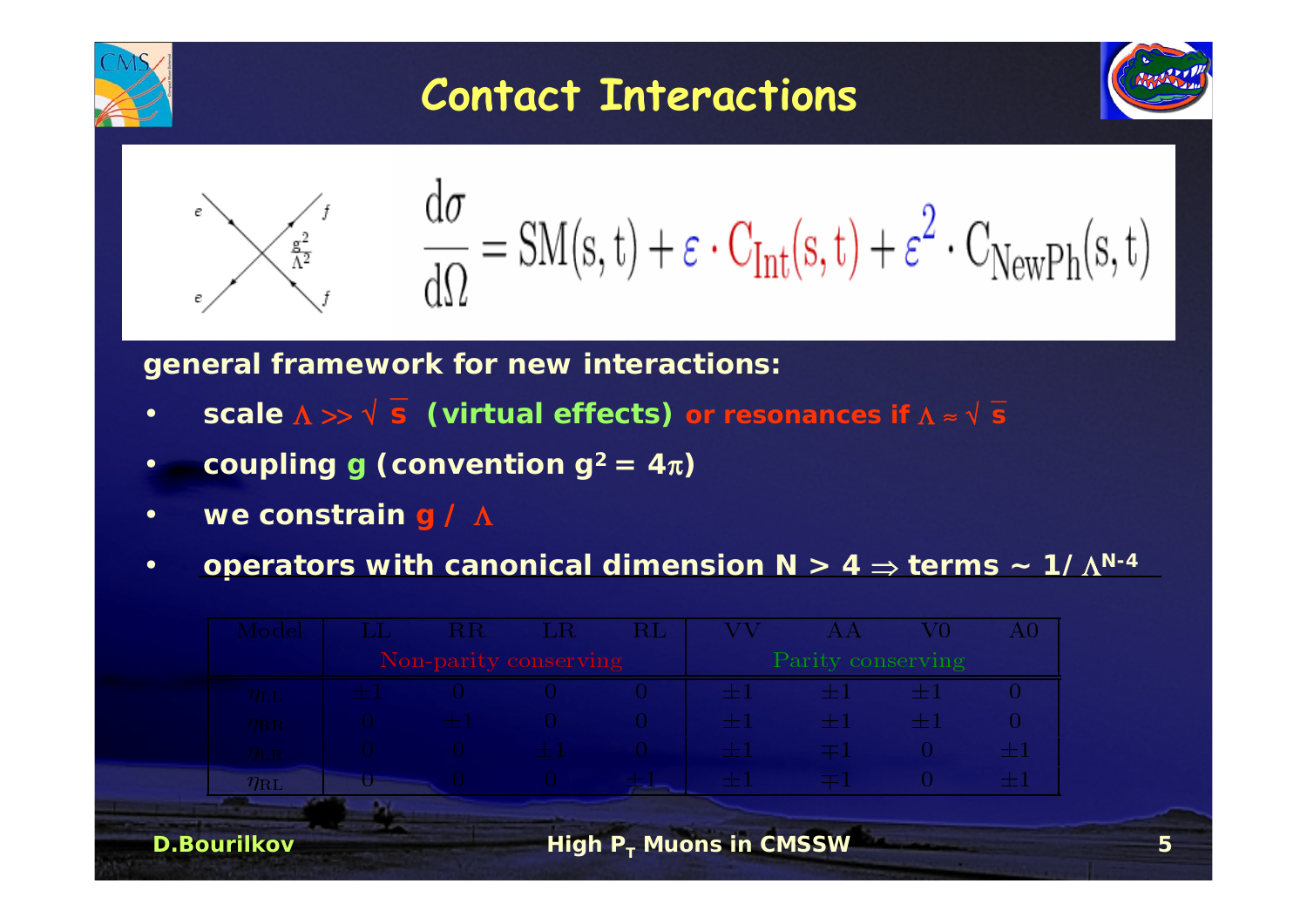

### **Contact Interactions**



$$
\sum_{\epsilon=1}^{\epsilon^2} \frac{d\sigma}{d\Omega} = SM(s,t) + \epsilon \cdot C_{Int}(s,t) + \epsilon^2 \cdot C_{NewPh}(s,t)
$$

**general framework for new interactions:**

- •**scale** <sup>Λ</sup> >> √⎯**<sup>s</sup> (virtual effects) or resonances if** <sup>Λ</sup> <sup>≈</sup> √⎯**<sup>s</sup>**
- •**coupling g** (convention  $g^2 = 4\pi$ )
- •**we constrain g /** Λ
- •**operators with canonical dimension N > 4** <sup>⇒</sup> **terms ~ 1/**Λ**N-4**

| $\rm Model$        | R <sub>R</sub>        | $-LR$ | $\rm RL$ |                           |                   | V0   | $\rm{A}0$ |
|--------------------|-----------------------|-------|----------|---------------------------|-------------------|------|-----------|
|                    | Non-parity conserving |       |          |                           | Parity conserving |      |           |
| $\eta_{\rm LL}$    |                       |       |          | 1957ء                     | a 191             | ÷    |           |
| $\eta_{\rm RR}$    | $+1$                  |       |          | 들 1                       | HH 1              | $+1$ |           |
| $\eta_{\rm LR}$    |                       | $+1$  |          | æ.                        |                   |      | $\pm 1$   |
| $\eta_{\rm RL}$    |                       |       |          | ÷.                        |                   |      | $\pm 1$   |
|                    |                       |       |          |                           |                   |      |           |
| <b>D.Bourilkov</b> |                       |       |          | High $P_T$ Muons in CMSSW |                   |      |           |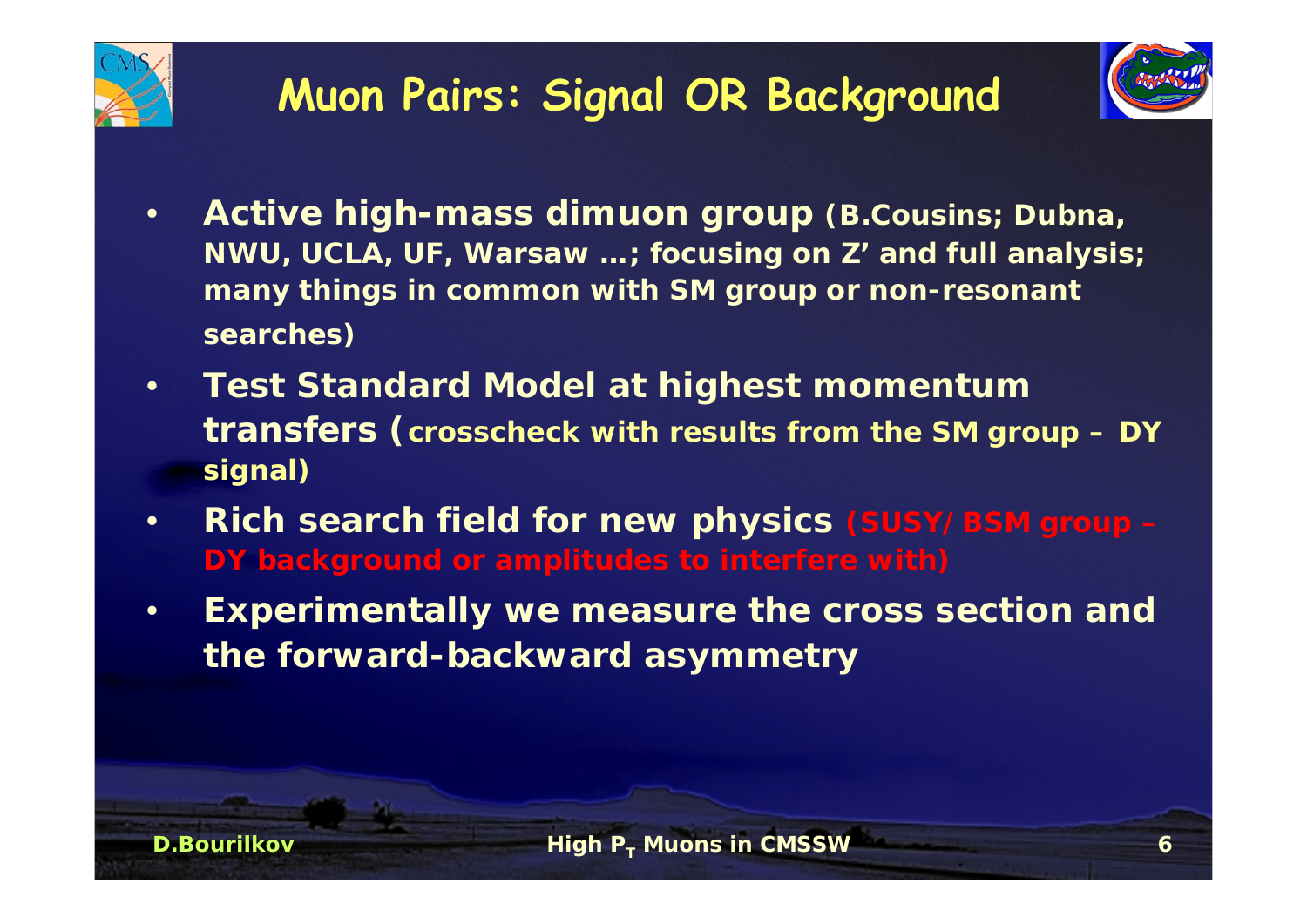



- • **Active high-mass dimuon group (B.Cousins; Dubna, NWU, UCLA, UF, Warsaw …; focusing on Z' and full analysis; many things in common with SM group or non-resonant searches)**
- • **Test Standard Model at highest momentum transfers (crosscheck with results from the SM group – DY signal)**
- • **Rich search field for new physics (SUSY/BSM group – DY background or amplitudes to interfere with)**
- • **Experimentally we measure the cross section and the forward-backward asymmetry**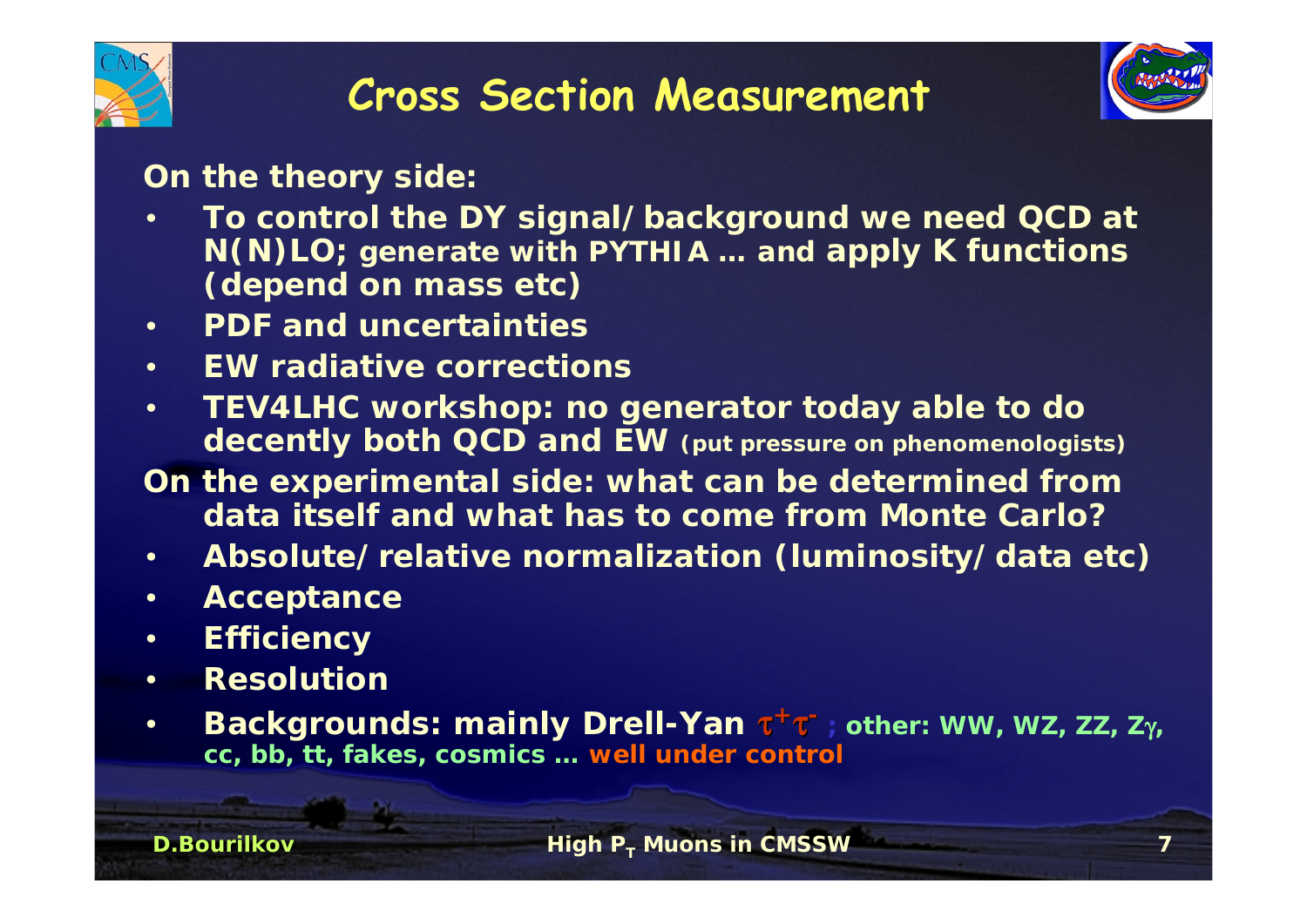



**On the theory side:**

- • **To control the DY signal/background we need QCD at N(N)LO; generate with PYTHIA … and apply K functions (depend on mass etc)**
- •**PDF and uncertainties**
- •**EW radiative corrections**
- • **TEV4LHC workshop: no generator today able to do decently both QCD and EW (put pressure on phenomenologists)**
- **On the experimental side: what can be determined from data itself and what has to come from Monte Carlo?**
- •**Absolute/relative normalization (luminosity/data etc)**
- •**Acceptance**
- •**Efficiency**
- •**Resolution**
- • **Backgrounds: mainly Drell-Yan** <sup>τ</sup>**<sup>+</sup>**τ**- ; other: WW, WZ, ZZ, Z**γ**, cc, bb, tt, fakes, cosmics … well under control**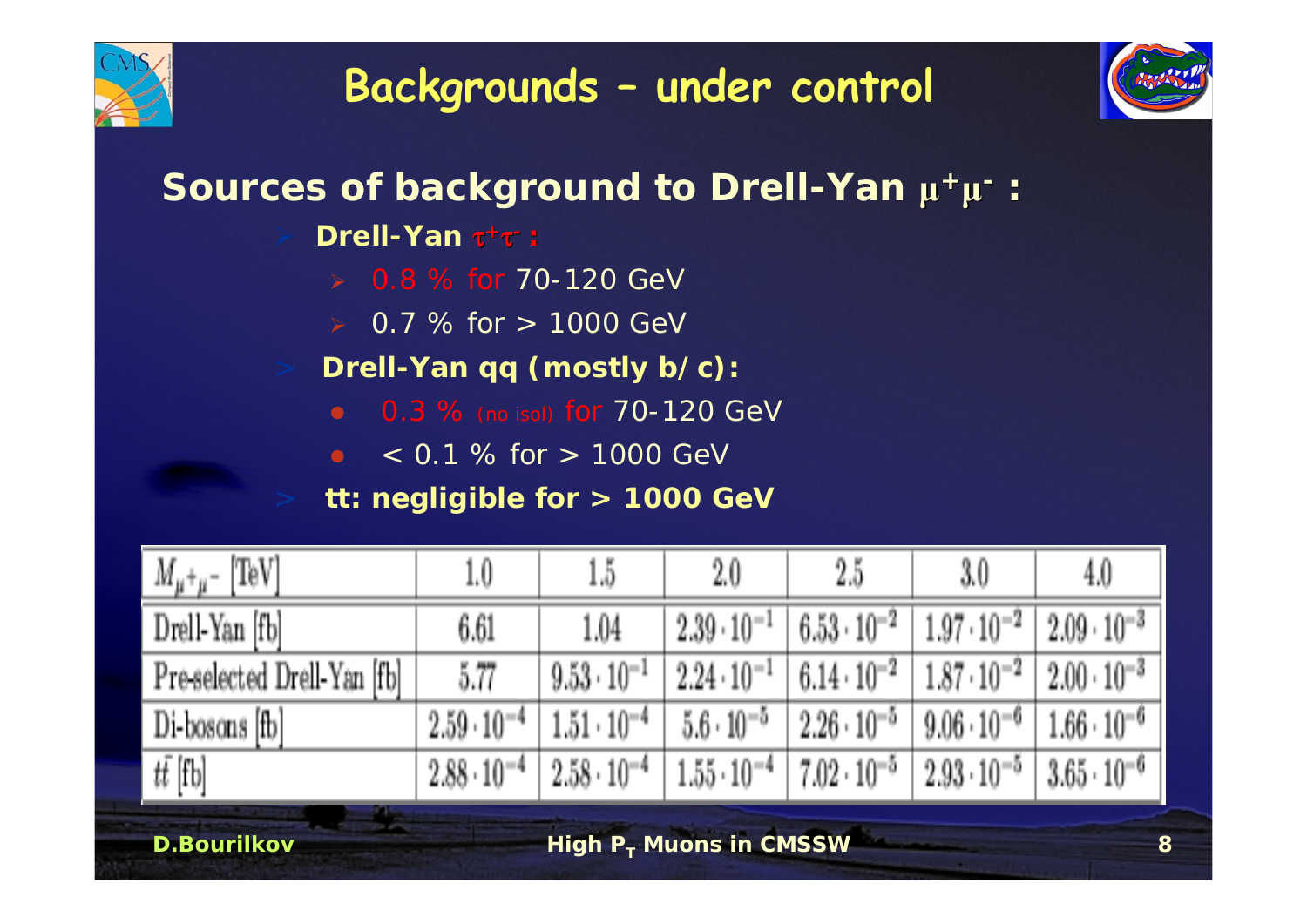



#### **Sources of background to Drell-Yan μ<sup>+</sup>μ- :**

**Drell-Yan** <sup>τ</sup>**<sup>+</sup>**τ**- :**

- $\triangleright$  0.8 % for 70-120 GeV
- $\ge 0.7$  % for  $> 1000$  GeV
- **Drell-Yan qq (mostly b/c):**
	- **0.3** % (no isol) for 70-120 GeV
	- $\bullet$   $\leq$  0.1 % for  $>$  1000 GeV

#### **tt: negligible for > 1000 GeV**

| $[{\rm TeV}]$<br>$M_{\mu^+\mu^-}$ | 1.0                  | $15\,$               | $2.0\,$              | $2.5\,$              | 3.0                    | 4.0                  |
|-----------------------------------|----------------------|----------------------|----------------------|----------------------|------------------------|----------------------|
| Drell-Yan [fb]                    | 6.61                 | 1.04                 | $2.39 \cdot 10^{-1}$ | $6.53 \cdot 10^{-2}$ | $1.97 \cdot 10^{-2}$   | $2.09 \cdot 10^{-3}$ |
| Preselected Drell-Yan [fb]        | 5.77                 | $9.53 \cdot 10^{-1}$ | $2.24 \cdot 10^{-1}$ | $6.14 \cdot 10^{-2}$ | $1.87 \cdot 10^{-2}$ . | $2.00 \cdot 10^{-3}$ |
| Di-bosons [fb]                    | $2.59 \cdot 10^{-4}$ | $1.51 \cdot 10^{-4}$ | $5.6 \cdot 10^{-5}$  | $2.26 \cdot 10^{-5}$ | $9.06 \cdot 10^{-6}$   | $1.66 \cdot 10^{-6}$ |
| $t\bar{t}$ [fb]                   | $2.88 \cdot 10^{-4}$ | $2.58 \cdot 10^{-4}$ | $1.55 \cdot 10^{-4}$ | $7.02 \cdot 10^{-5}$ | $2.93\cdot10^{-5}$     | $3.65 \cdot 10^{-6}$ |

**D.Bourilkov**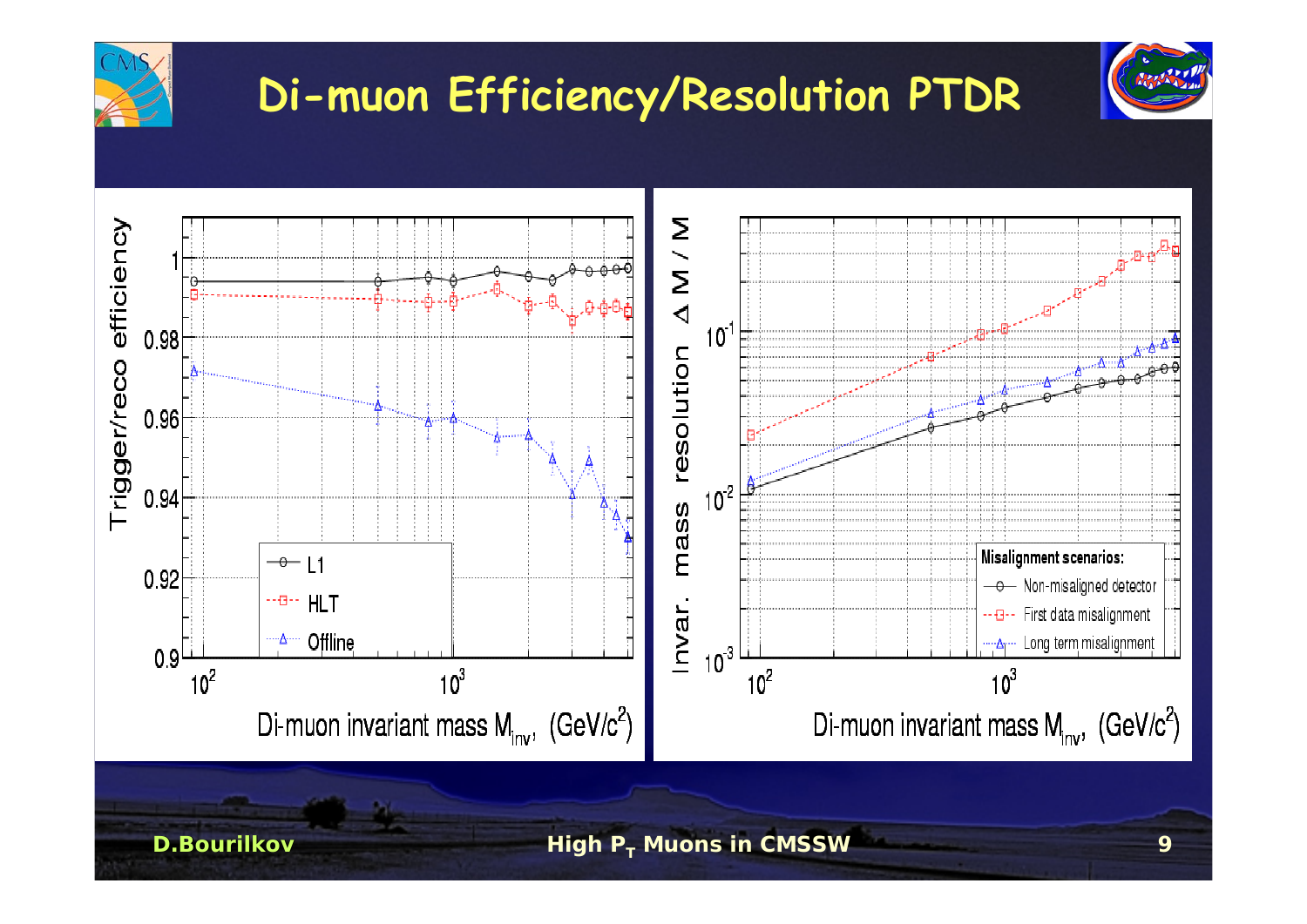

**High PT Muons in CMSSW <sup>9</sup>**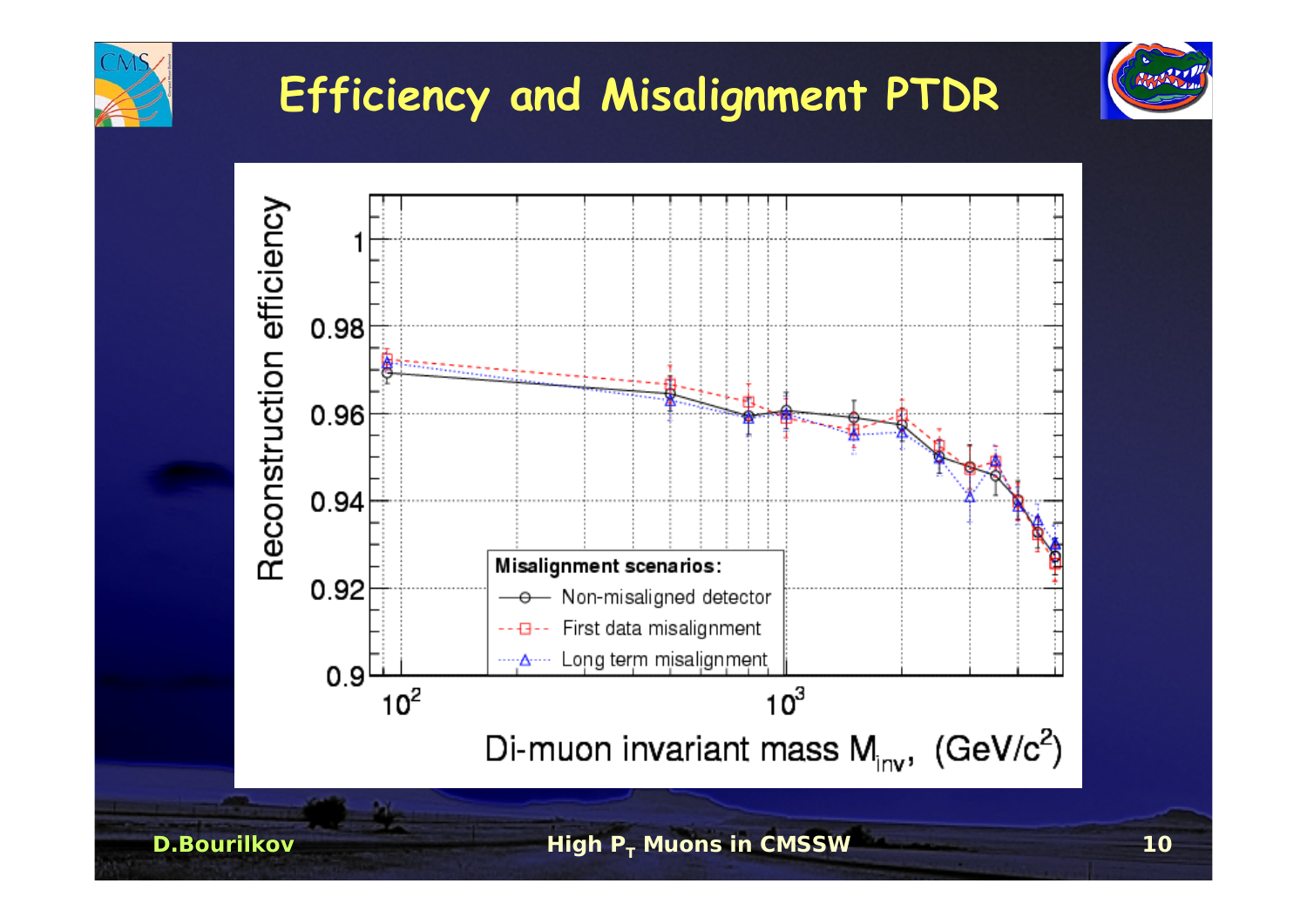

## **Efficiency and Misalignment PTDR**

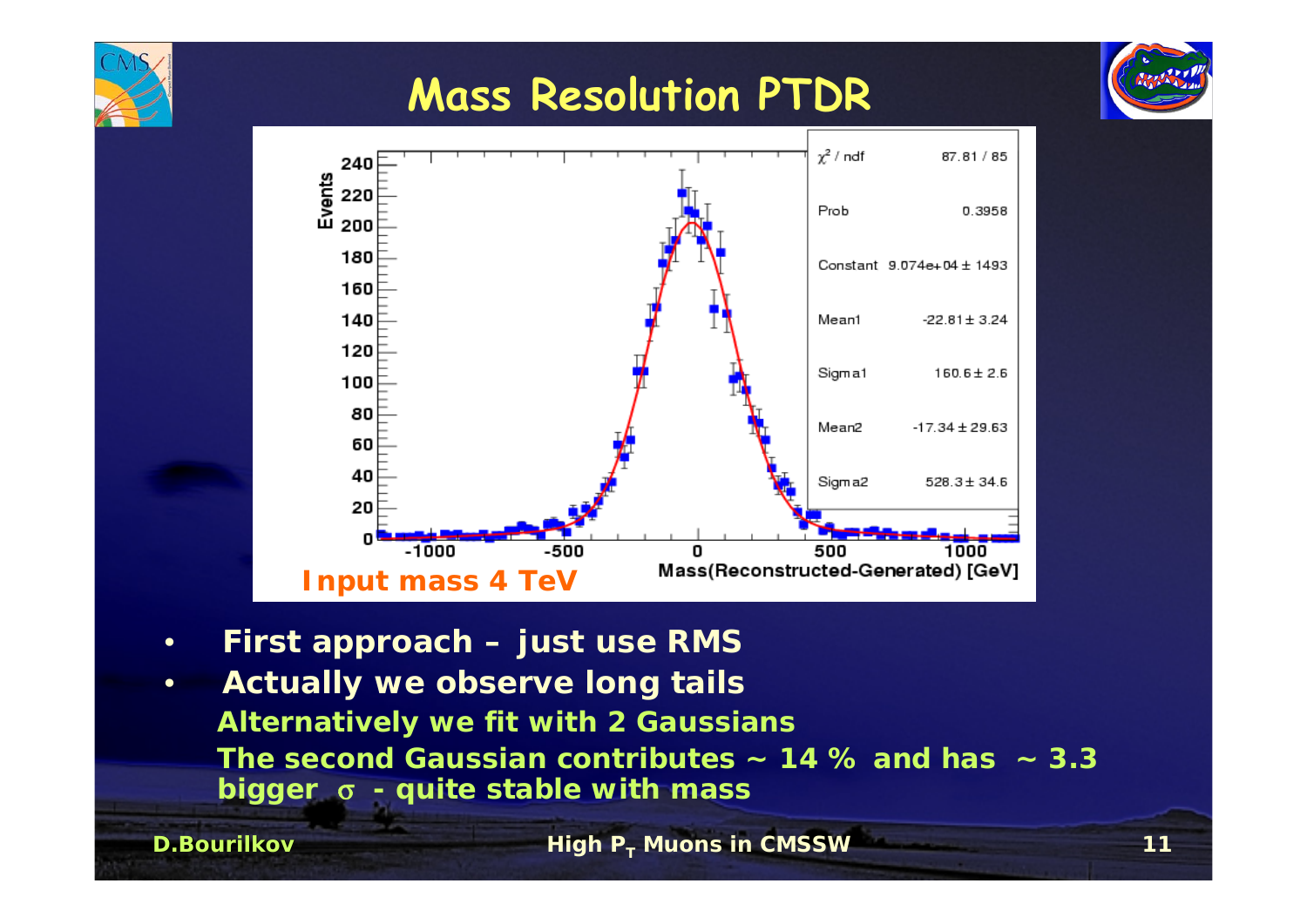

### **Mass Resolution PTDR**



•**First approach – just use RMS**

**D.Bourilkov**

• **Actually we observe long tails Alternatively we fit with 2 Gaussians The second Gaussian contributes ~ 14 % and has ~ 3.3 bigger** <sup>σ</sup> **- quite stable with mass**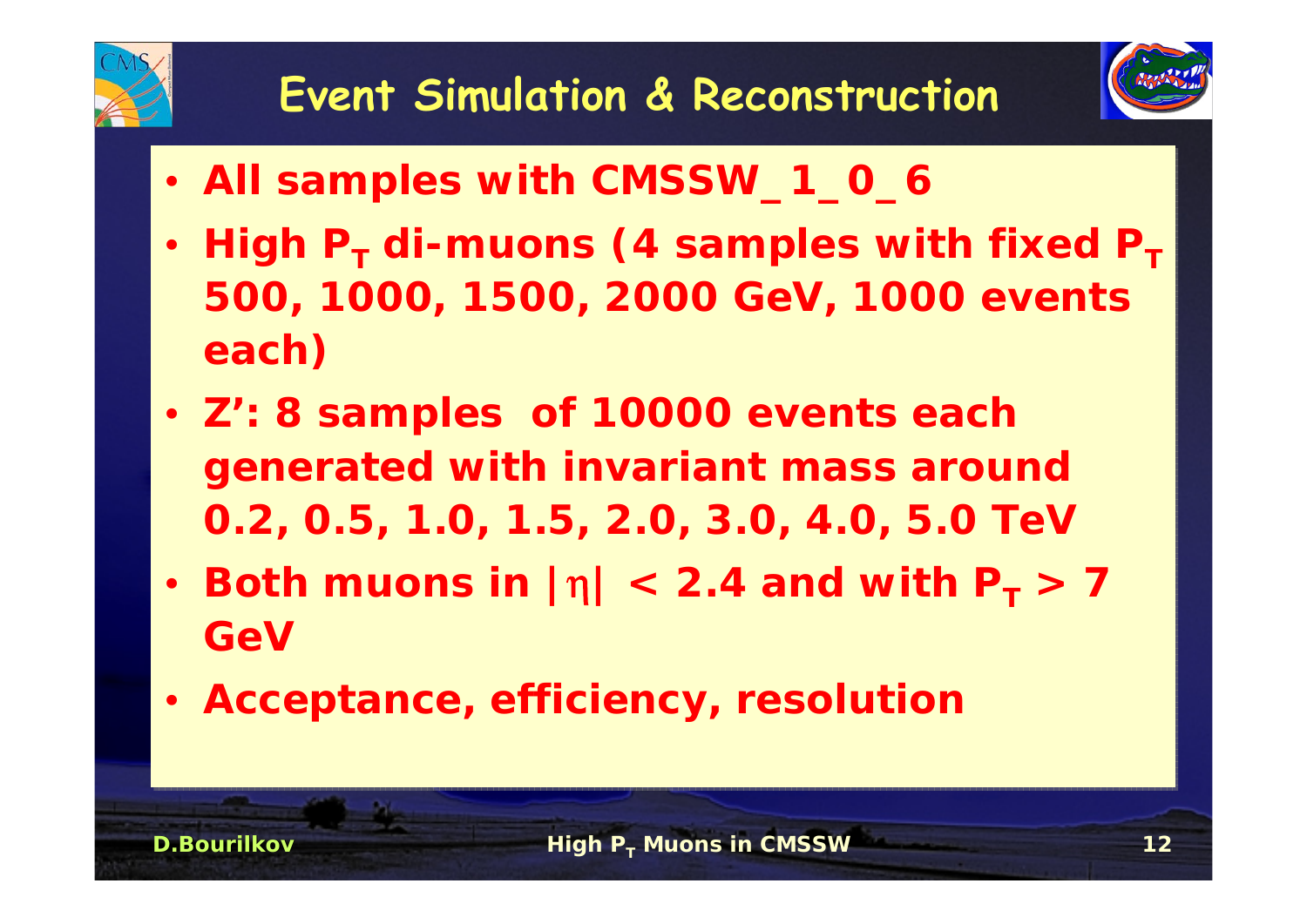

- • **All samples with CMSSW\_1\_0\_6** •**All samples with CMSSW\_1\_0\_6**
- • $\cdot$  High P<sub>T</sub> di-muons (4 samples with fixed P<sub>T</sub> **500, 1000, 1500, 2000 GeV, 1000 events 500, 1000, 1500, 2000 GeV, 1000 events each) each)** • High P<sub>T</sub> di-muons (4 samples with fixed P<sub>T</sub>
- • **Z': 8 samples of 10000 events each**  •**generated with invariant mass around generated with invariant mass around 0.2, 0.5, 1.0, 1.5, 2.0, 3.0, 4.0, 5.0 TeV 0.2, 0.5, 1.0, 1.5, 2.0, 3.0, 4.0, 5.0 TeV Z': 8 samples of 10000 events each**
- •• Both muons in  $|\eta| < 2.4$  and with  $P_T > 7$ **GeVGeV• Both muons in**  $|\eta| < 2.4$  and with  $P_T > 7$
- • **Acceptance, efficiency, resolution** •**Acceptance, efficiency, resolution**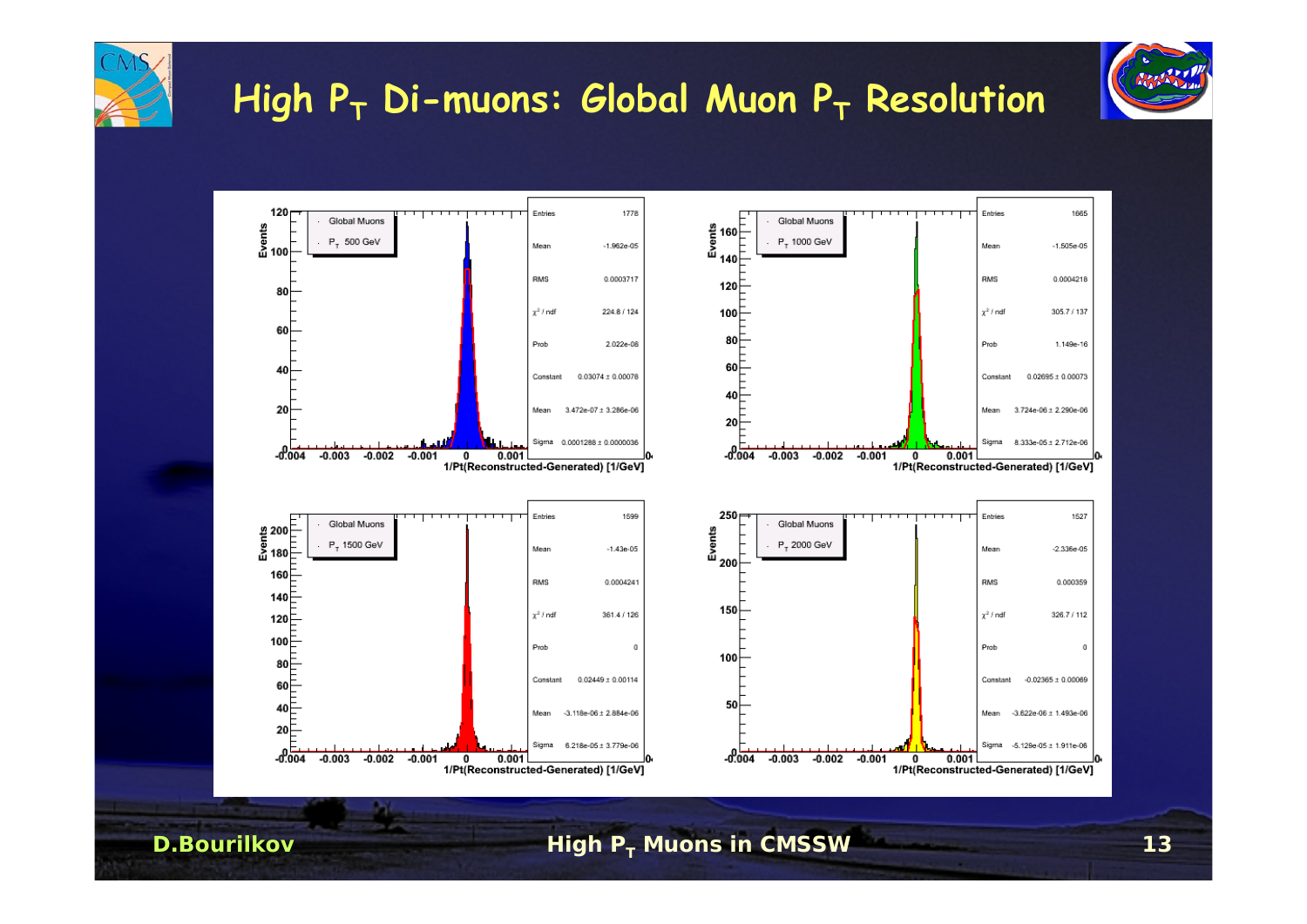

#### **High PT Di-muons: Global Muon PT Resolution**



**High PT Muons in CMSSW <sup>13</sup>**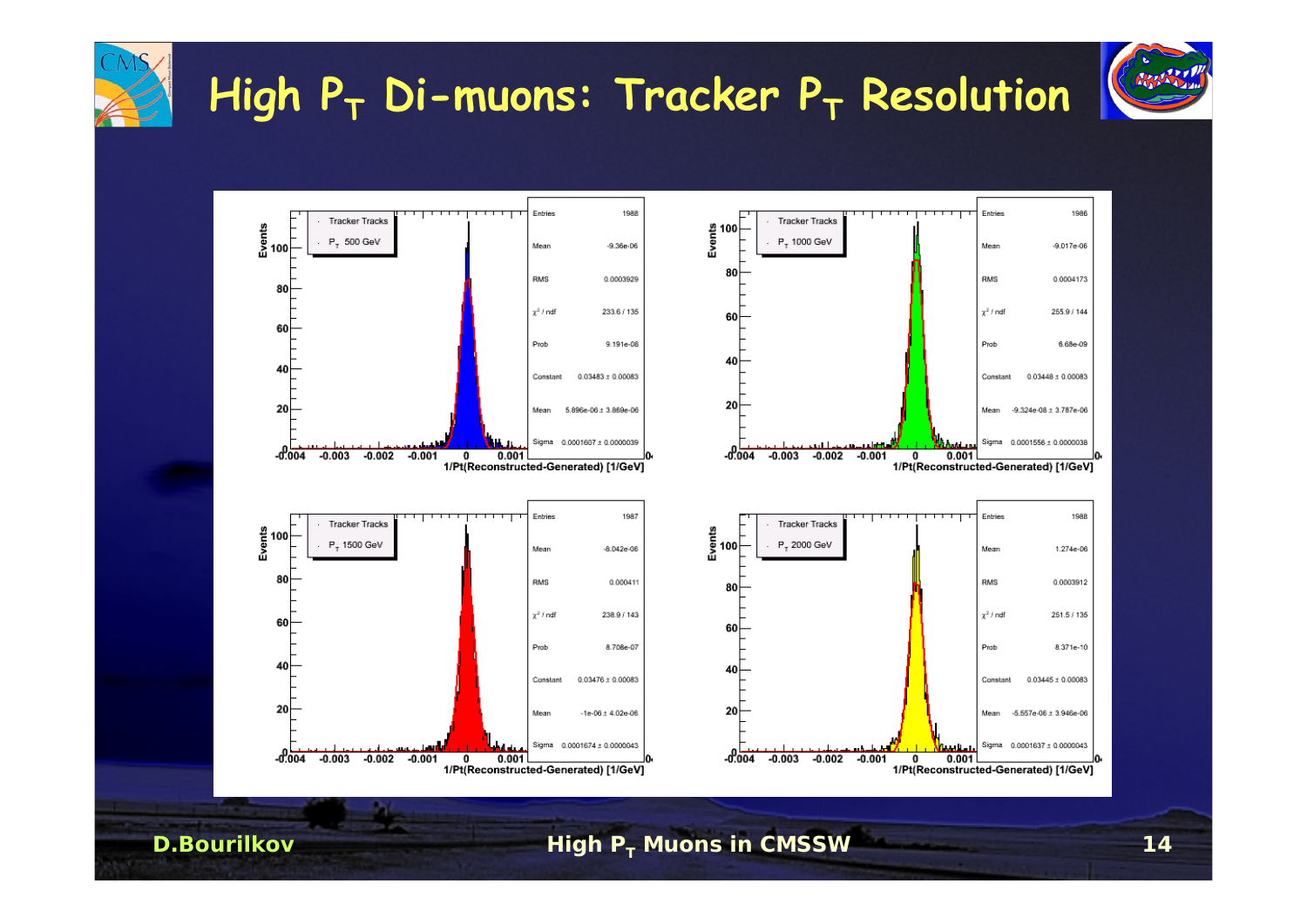

**High PT Muons in CMSSW <sup>14</sup>**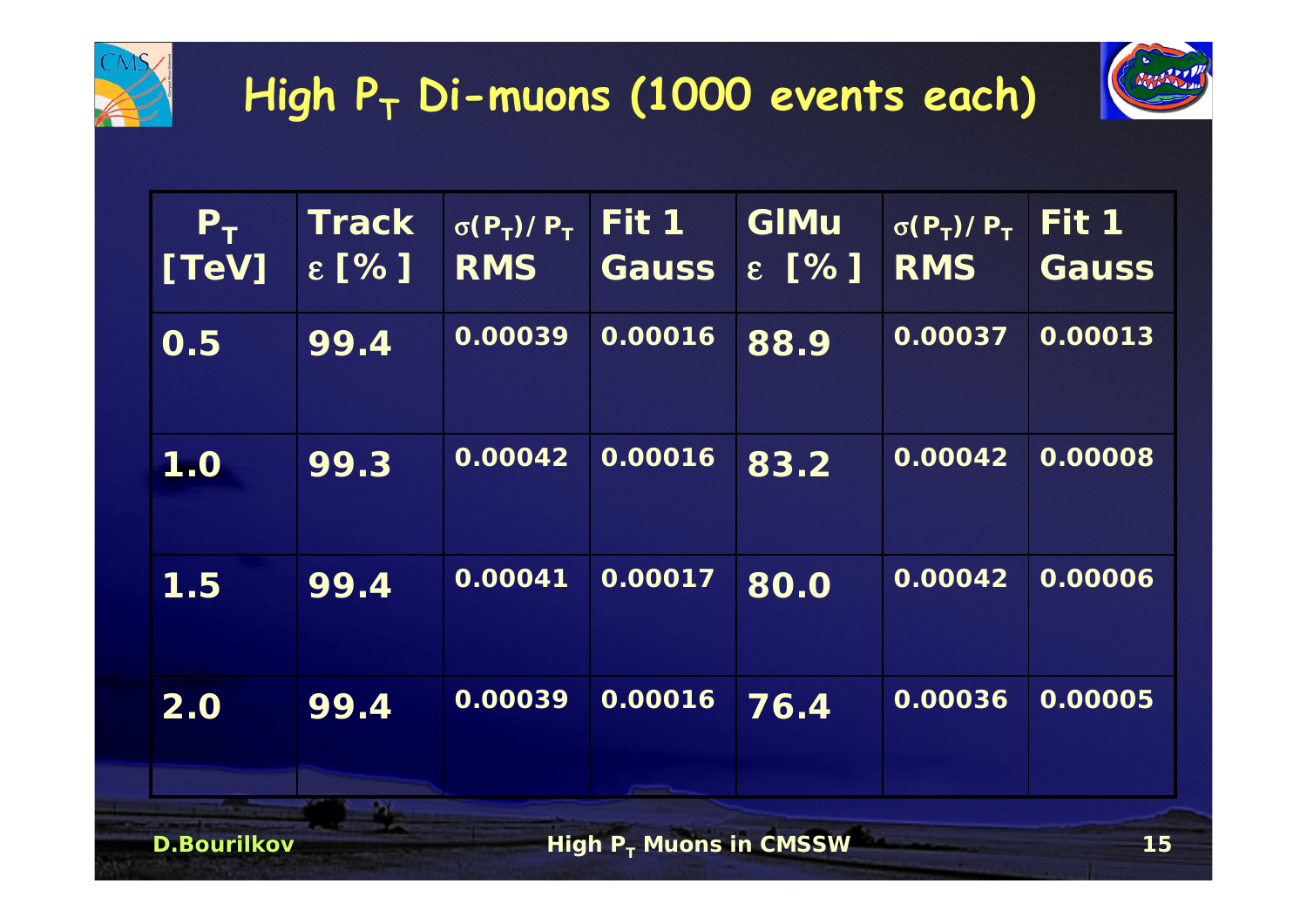

## **High PT Di-muons (1000 events each)**



| $P_T$<br>[TeV]     | <b>Track</b><br>$\epsilon$ [%] | $\sigma(P_T)/P_T$<br><b>RMS</b> | Fit 1<br><b>Gauss</b>     | <b>GIMu</b><br>$\epsilon$ [%] | $\sigma(P_T)/P_T$<br><b>RMS</b> | Fit 1<br><b>Gauss</b> |
|--------------------|--------------------------------|---------------------------------|---------------------------|-------------------------------|---------------------------------|-----------------------|
| $\overline{O.5}$   | 99.4                           | 0.00039                         | 0.00016                   | 88.9                          | 0.00037                         | 0.00013               |
| 1.0                | 99.3                           | 0.00042                         | 0.00016                   | 83.2                          | 0.00042                         | 0.00008               |
| 1.5                | 99.4                           | 0.00041                         | 0.00017                   | 80.0                          | 0.00042                         | 0.00006               |
| 2.0                | 99.4                           | 0.00039                         | 0.00016                   | 76.4                          | 0.00036                         | 0.00005               |
| <b>D.Bourilkov</b> |                                |                                 | High $P_T$ Muons in CMSSW |                               |                                 | 15                    |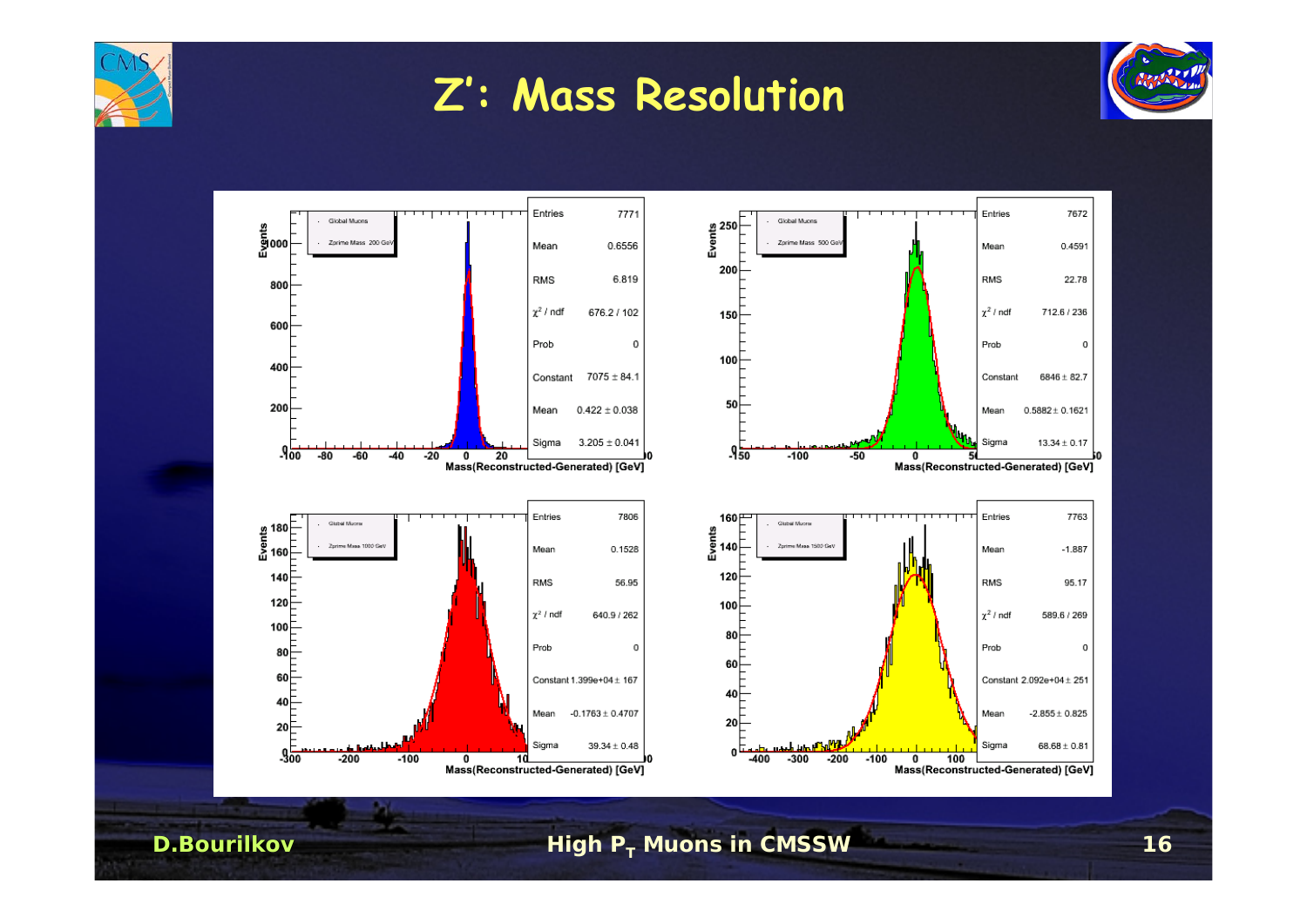

#### **Z': Mass Resolution**



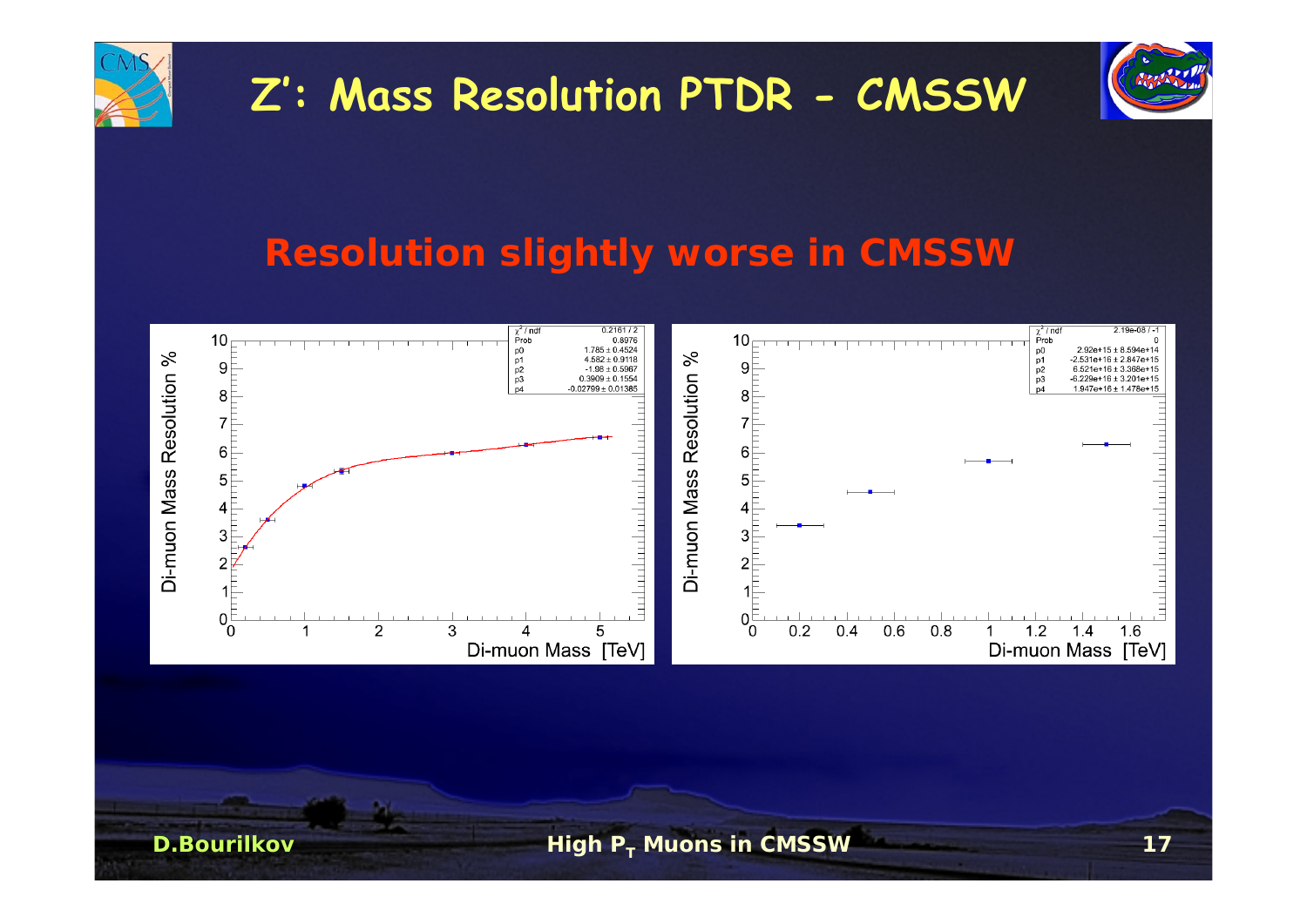

## **Z': Mass Resolution PTDR - CMSSW**



#### **Resolution slightly worse in CMSSW**

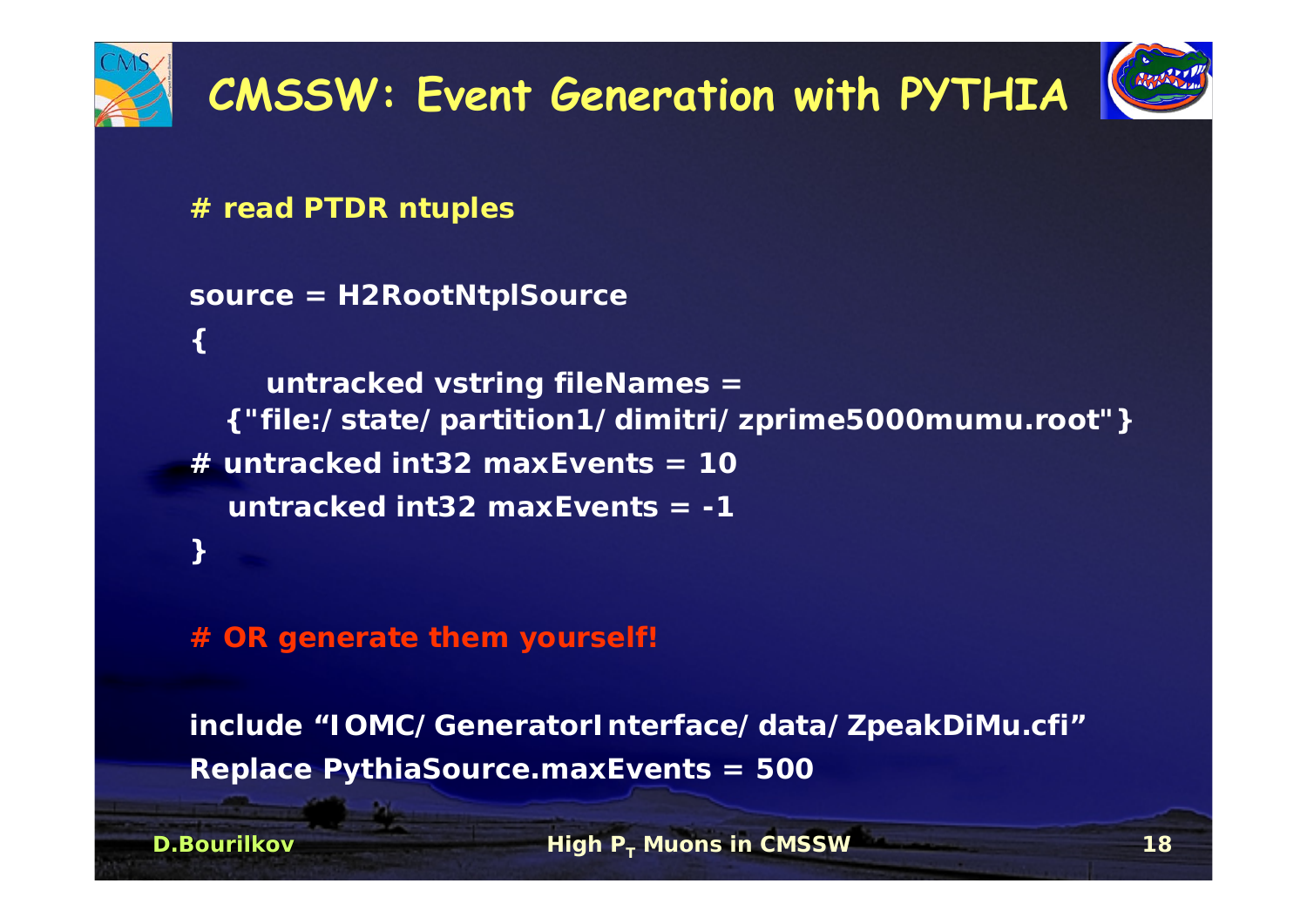

**{** 

**D.Bourilkov**

# **CMSSW: Event Generation with PYTHIA**



**# read PTDR ntuples**

**source = H2RootNtplSource**

**untracked vstring fileNames <sup>=</sup> {"file:/state/partition1/dimitri/zprime5000mumu.root"} # untracked int32 maxEvents = 10untracked int32 maxEvents = -1}**

**# OR generate them yourself!**

**include "IOMC/GeneratorInterface/data/ZpeakDiMu.cfi" Replace PythiaSource.maxEvents = 500**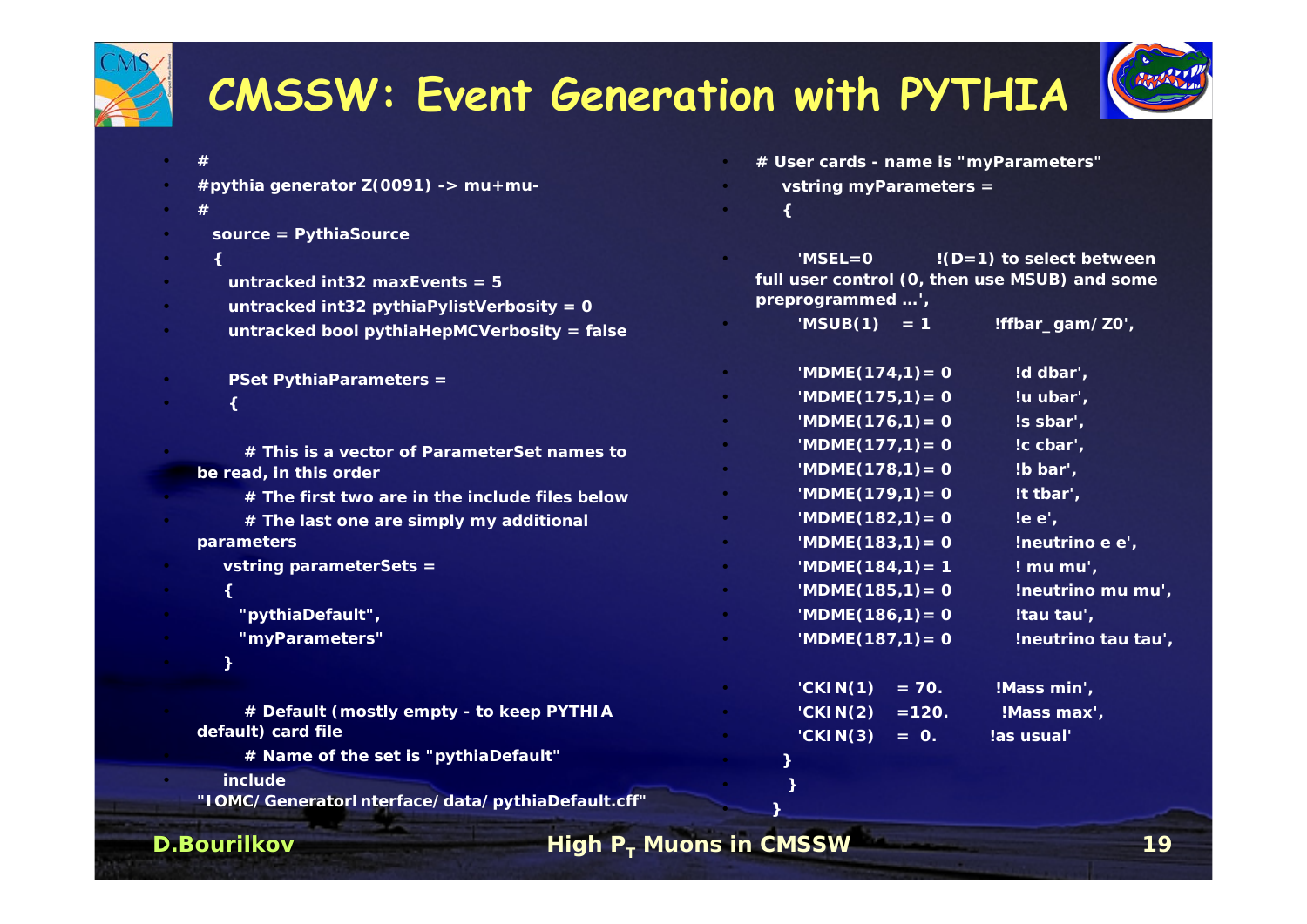

**D.Bourilkov**•

## **CMSSW: Event Generation with PYTHIA**



| #<br>#pythia generator $Z(0091)$ -> mu+mu-<br>#<br>source = PythiaSource                                                      |           | # User cards - name is "myParameters"<br>vstring myParameters =<br>$MSEL = 0$        | $!(D=1)$ to select between                   |
|-------------------------------------------------------------------------------------------------------------------------------|-----------|--------------------------------------------------------------------------------------|----------------------------------------------|
| untracked int32 maxEvents = $5$<br>untracked int32 pythiaPylistVerbosity = $0$<br>untracked bool pythiaHepMCVerbosity = false |           | full user control (0, then use MSUB) and some<br>preprogrammed ',<br>'MSUB $(1) = 1$ | !ffbar_gam/Z0',                              |
| <b>PSet PythiaParameters =</b>                                                                                                |           | 'MDME $(174,1) = 0$<br>'MDME $(175,1) = 0$<br>'MDME $(176,1) = 0$                    | !d dbar',<br>!u ubar',<br>!s sbar',          |
| # This is a vector of ParameterSet names to<br>be read, in this order<br># The first two are in the include files below       |           | 'MDME $(177,1) = 0$<br>$'MDME(178,1) = 0$<br>'MDME $(179,1) = 0$                     | !c cbar',<br>!b bar',<br>!t tbar',           |
| # The last one are simply my additional<br>parameters                                                                         | $\bullet$ | 'MDME $(182,1)=0$<br>'MDME $(183,1) = 0$                                             | $!e^{\cdot}$ .<br>!neutrino e e',            |
| vstring parameterSets =<br>€<br>"pythiaDefault",                                                                              |           | 'MDME $(184,1) = 1$<br>'MDME $(185,1) = 0$<br>'MDME $(186,1) = 0$                    | ! mu mu',<br>!neutrino mu mu',<br>!tau tau', |
| "myParameters"                                                                                                                |           | 'MDME $(187,1) = 0$<br>CKIN(1)<br>$= 70.$                                            | !neutrino tau tau',<br>!Mass min',           |
| # Default (mostly empty - to keep PYTHIA<br>default) card file<br># Name of the set is "pythiaDefault"                        |           | CKIN(2)<br>$= 120.$<br>'CKIN(3)<br>$=$ 0.                                            | !Mass max',<br>!as usual'                    |
| include<br>"IOMC/GeneratorInterface/data/pythiaDefault.cff"                                                                   |           |                                                                                      |                                              |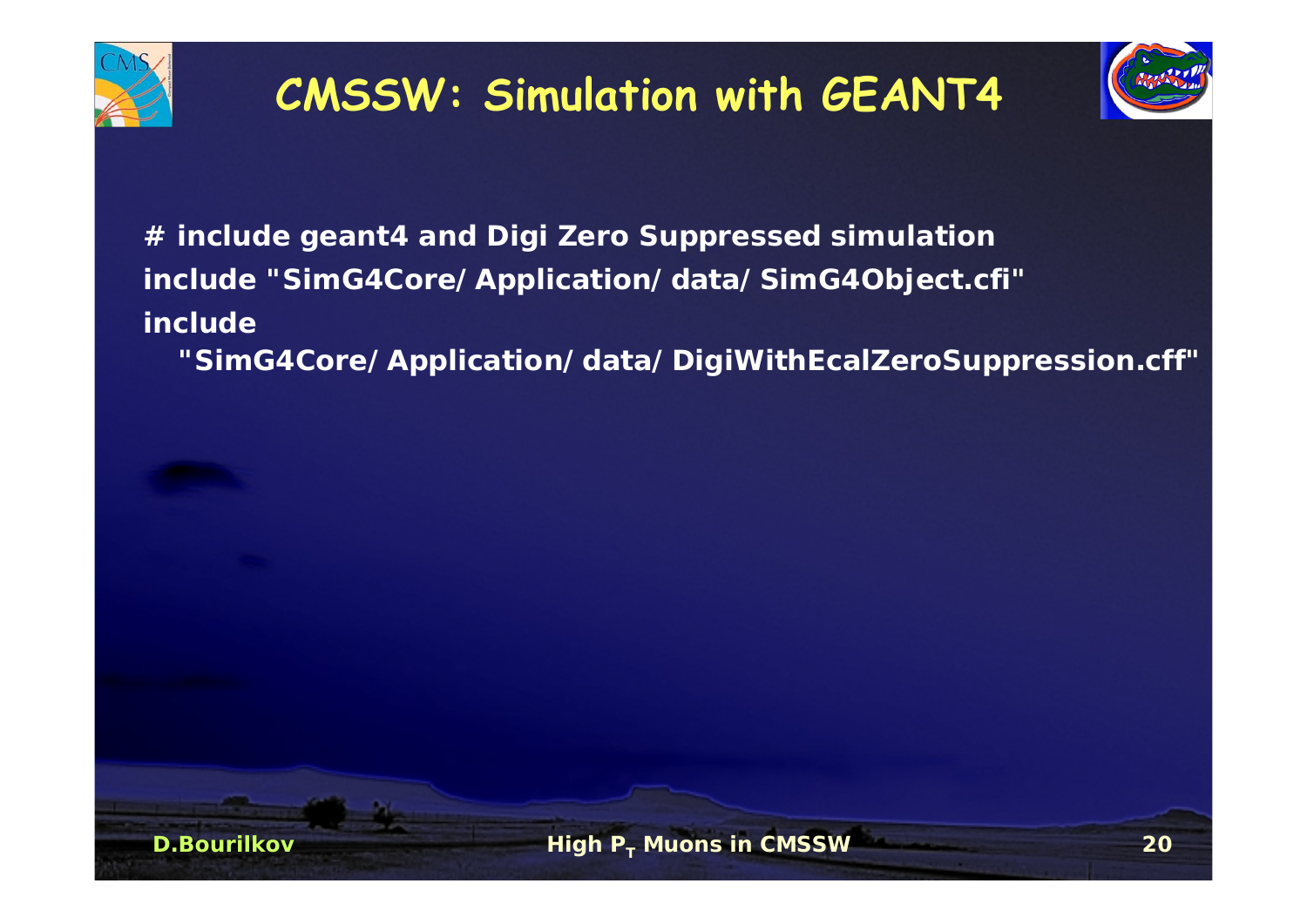

## **CMSSW: Simulation with GEANT4**



**# include geant4 and Digi Zero Suppressed simulation include "SimG4Core/Application/data/SimG4Object.cfi" include** 

**"SimG4Core/Application/data/DigiWithEcalZeroSuppression.cff"**

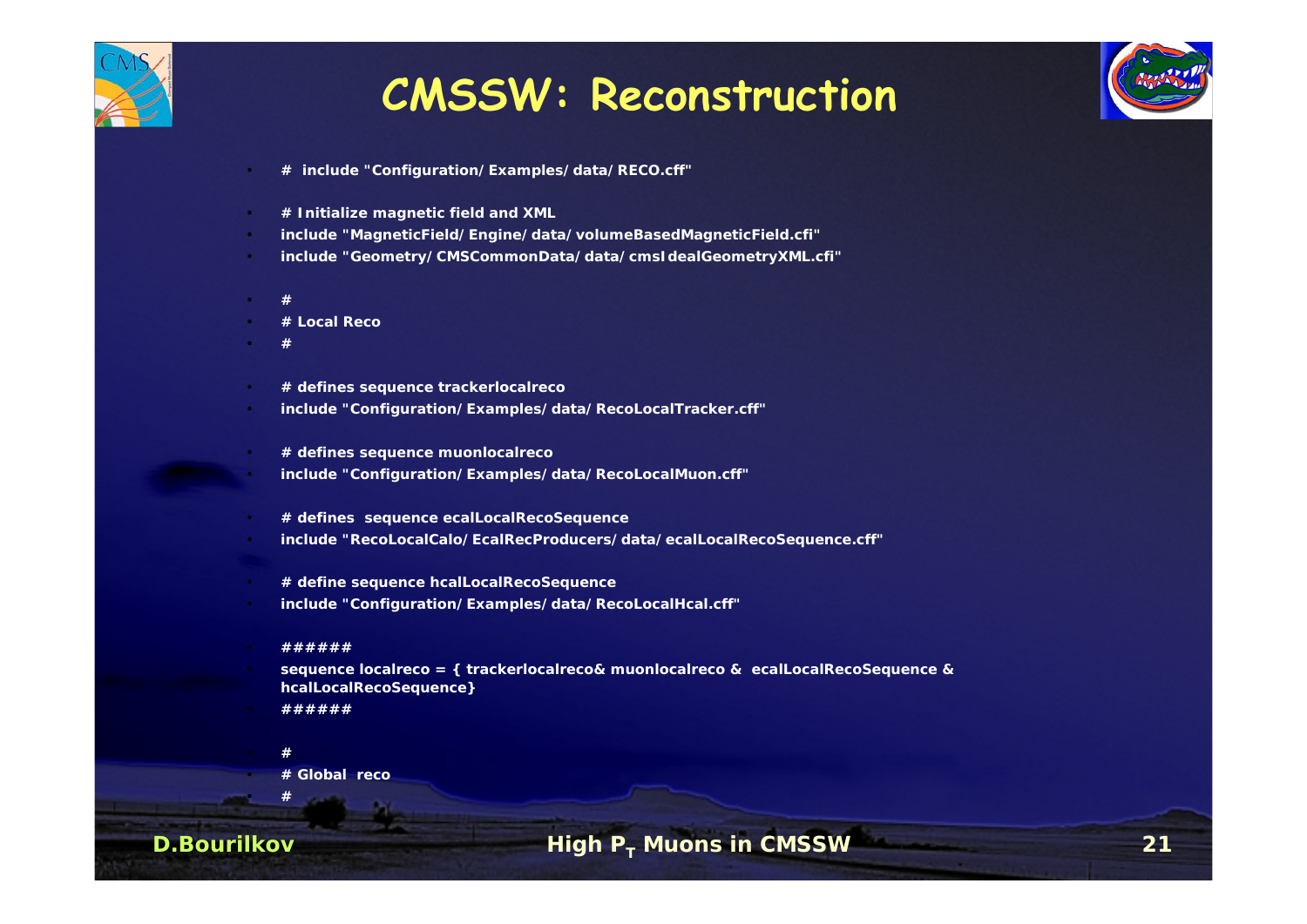

#### **CMSSW: Reconstruction**



- **# include "Configuration/Examples/data/RECO.cff"**
- **# Initialize magnetic field and XML**
- **include "MagneticField/Engine/data/volumeBasedMagneticField.cfi"**
- **include "Geometry/CMSCommonData/data/cmsIdealGeometryXML.cfi"**
- **#**
- **# Local Reco**
- **#**
- **# defines sequence trackerlocalreco**
- **include "Configuration/Examples/data/RecoLocalTracker.cff"**
- **# defines sequence muonlocalreco**
- **include "Configuration/Examples/data/RecoLocalMuon.cff"**
- **# defines sequence ecalLocalRecoSequence**
- **include "RecoLocalCalo/EcalRecProducers/data/ecalLocalRecoSequence.cff"**
- **# define sequence hcalLocalRecoSequence**
- **include "Configuration/Examples/data/RecoLocalHcal.cff"**
- **######**
- **sequence localreco = { trackerlocalreco& muonlocalreco & ecalLocalRecoSequence & hcalLocalRecoSequence}**
- **######**
	- **#**

**#**

**# Global reco**

#### **D.Bourilkov**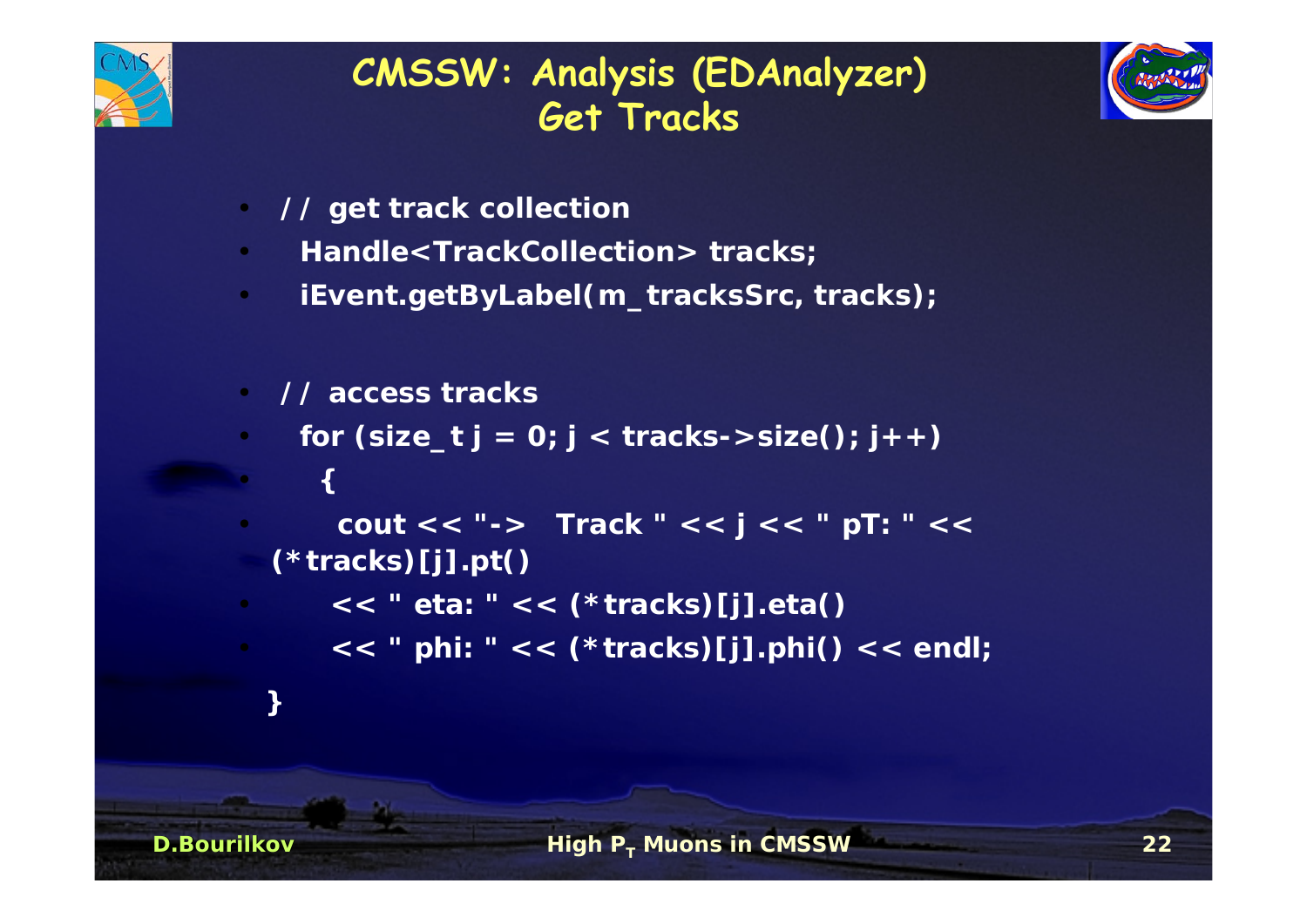

#### **CMSSW: Analysis (EDAnalyzer) Get Tracks**



- •**// get track collection**
- $\bullet$ **Handle<TrackCollection> tracks;**
- •**iEvent.getByLabel(m\_tracksSrc, tracks);**
- **// access tracks**
- for  $(size_t j = 0; j < tracks->size(); j++)$ 
	- **{**

**D.Bourilkov**

**}**

- **cout << "-> Track " << j << " pT: " << (\*tracks)[j].pt()** 
	- **<< " eta: " << (\*tracks)[j].eta()**
	- **<< " phi: " << (\*tracks)[j].phi() << endl;**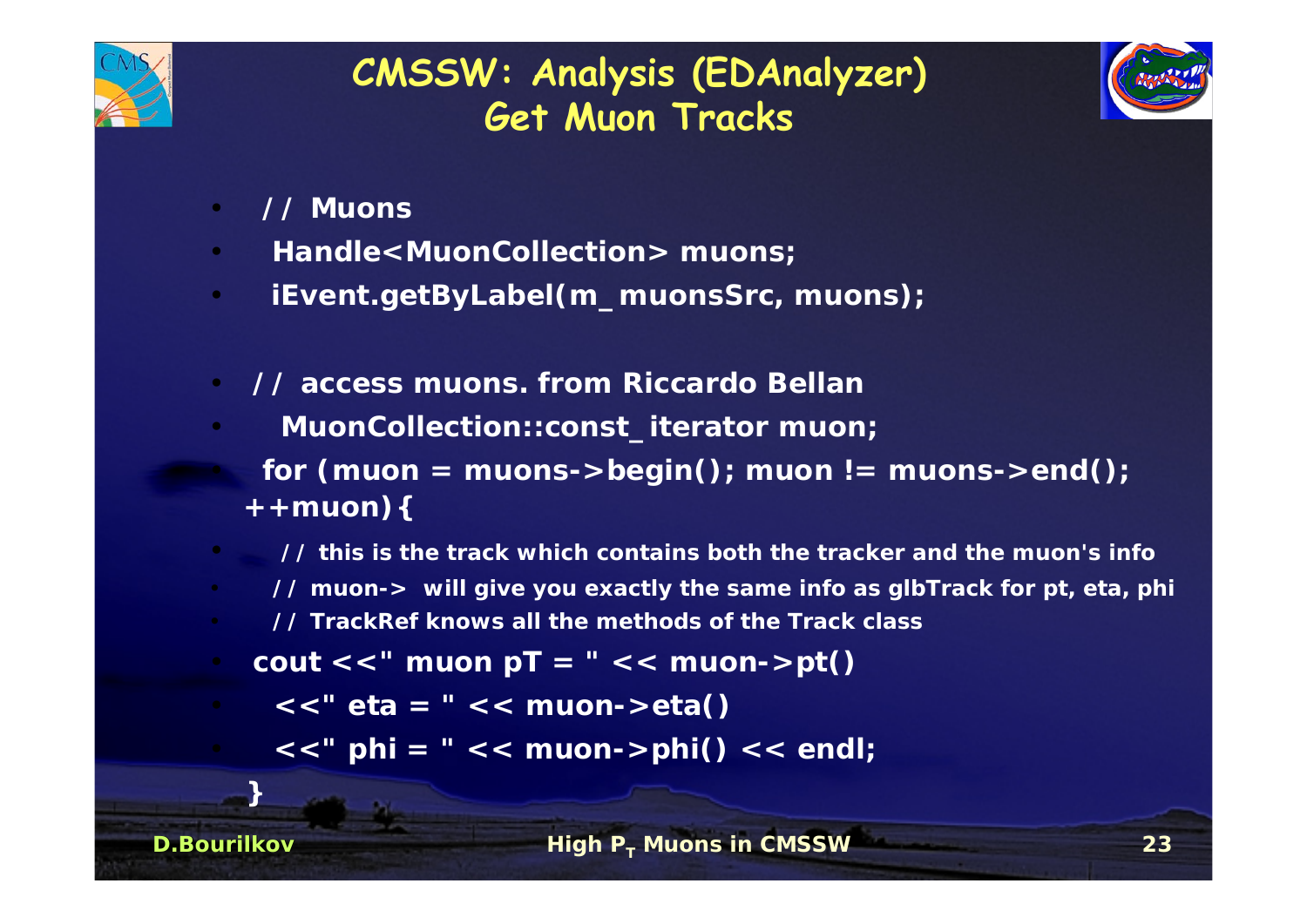

#### **CMSSW: Analysis (EDAnalyzer) Get Muon Tracks**



- •**// Muons**
- •**Handle<MuonCollection> muons;**
- •**iEvent.getByLabel(m\_muonsSrc, muons);**
- • **// access muons. from Riccardo Bellan**
	- **MuonCollection::const\_iterator muon;**
	- for (muon = muons->begin(); muon  $!=$  muons->end(); **++muon){**
	- **// this is the track which contains both the tracker and the muon's info// muon-> will give you exactly the same info as glbTrack for pt, eta, phi**
	- **// TrackRef knows all the methods of the Track class**
- cout  $<<$  " muon  $pT = "<<$  muon- $>pt()$ 
	- **<<" eta <sup>=</sup>" << muon->eta()**
		- **<<" phi = " << muon->phi() << endl;**

**}**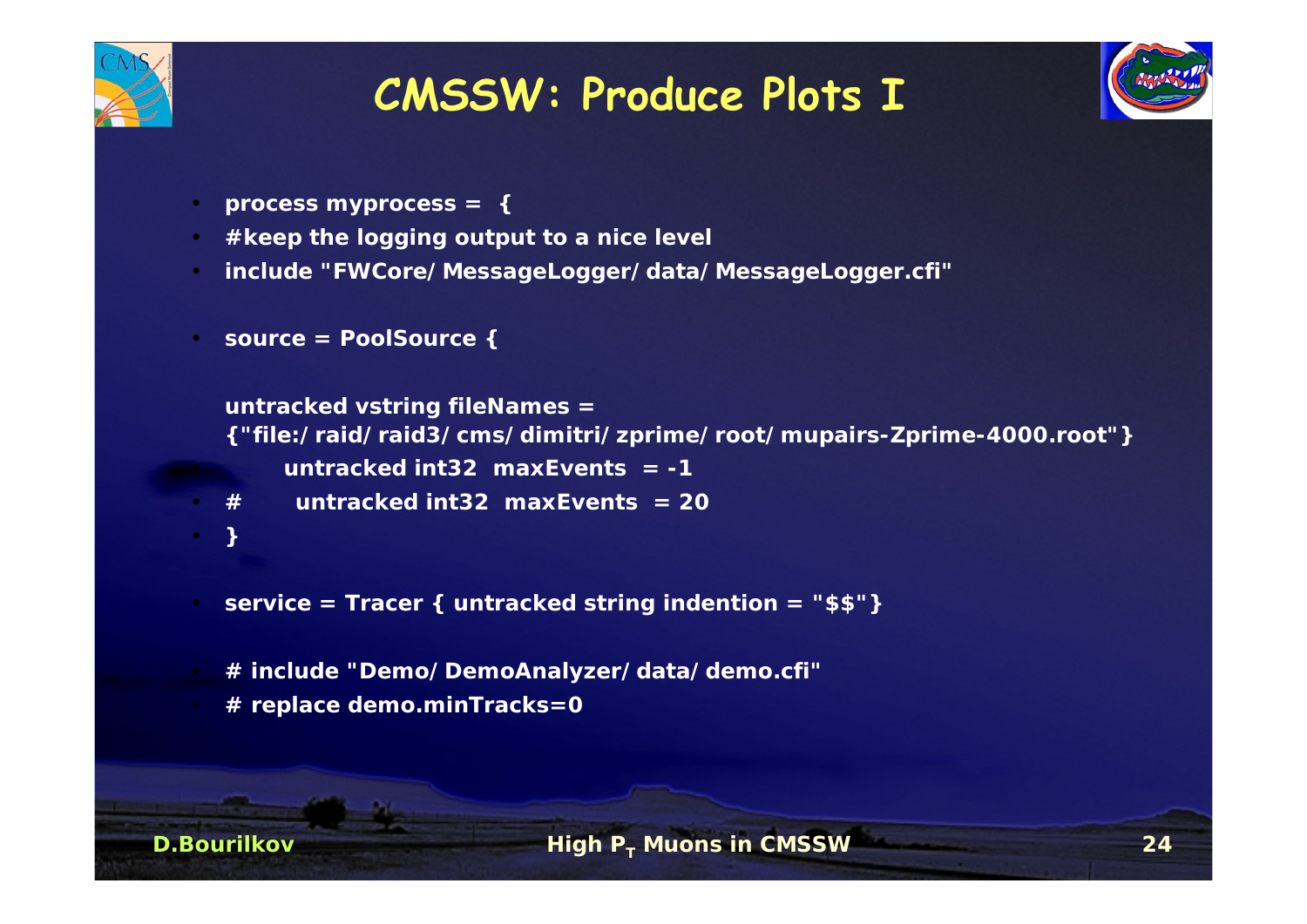

## **CMSSW: Produce Plots I**



- **process myprocess = {**
- **#keep the logging output to a nice level**
- **include "FWCore/MessageLogger/data/MessageLogger.cfi"**
- **source = PoolSource {**

```
untracked vstring fileNames =
{"file:/raid/raid3/cms/dimitri/zprime/root/mupairs-Zprime-4000.root"}
     untracked int32 maxEvents = -1
```
- **# untracked int32 maxEvents = 20**
- **}**

- **service = Tracer { untracked string indention = "\$\$"}**
- **# include "Demo/DemoAnalyzer/data/demo.cfi"**
- **# replace demo.minTracks=0**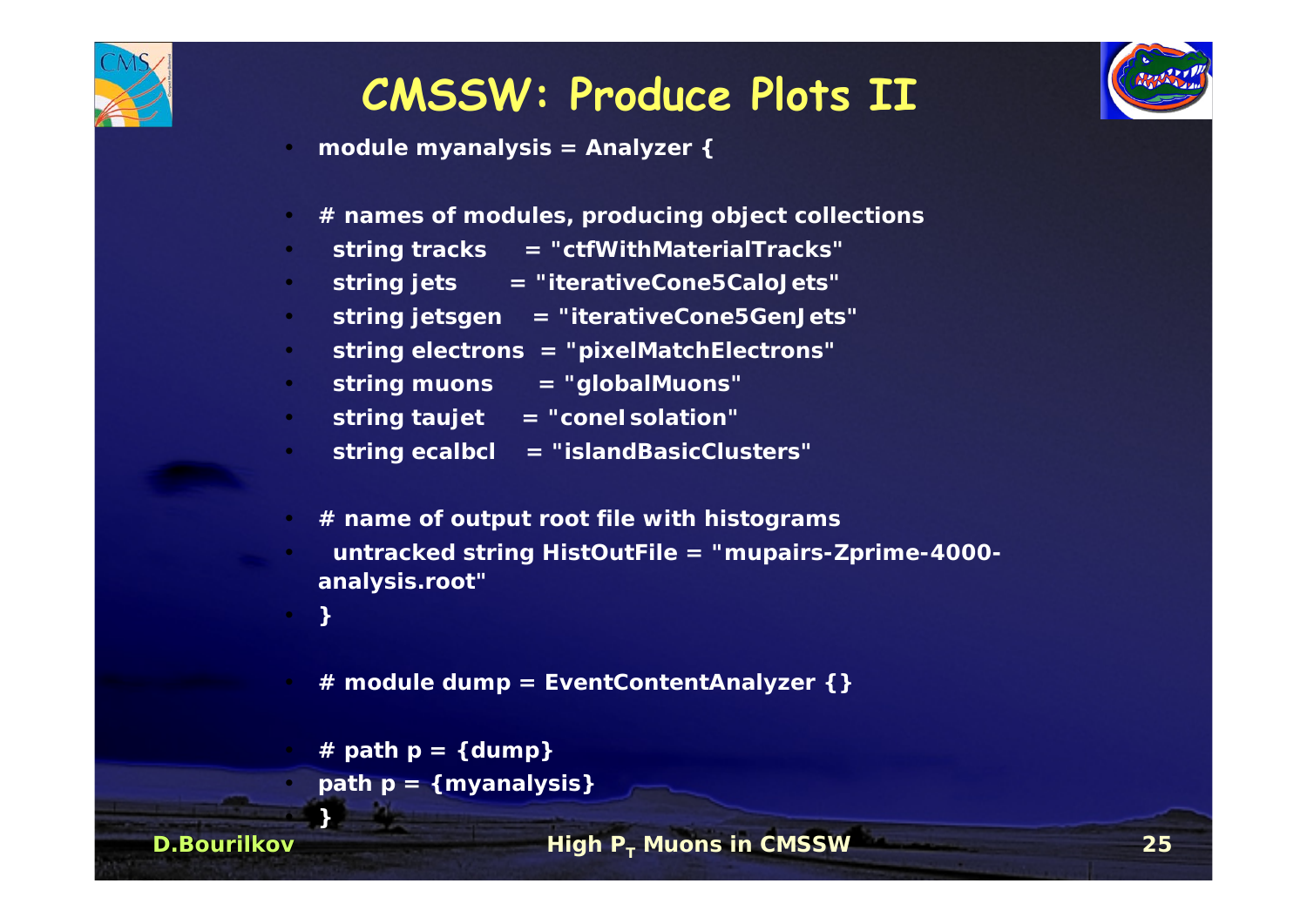

## **CMSSW: Produce Plots II**



- **module myanalysis = Analyzer {**
- **# names of modules, producing object collections**
- **string tracks = "ctfWithMaterialTracks"**
- **string jets = "iterativeCone5CaloJets"**
- **string jetsgen <sup>=</sup>"iterativeCone5GenJets"**
- **string electrons = "pixelMatchElectrons"**
- **string muons <sup>=</sup>"globalMuons"**
- **string taujet <sup>=</sup>"coneIsolation"**
- **string ecalbcl <sup>=</sup>"islandBasicClusters"**
- **# name of output root file with histograms**
- **untracked string HistOutFile <sup>=</sup>"mupairs-Zprime-4000 analysis.root"**

**}**

•

**}**

**D.Bourilkov**

- **# module dump = EventContentAnalyzer {}**
- **# path p = {dump}**
- **path p = {myanalysis}**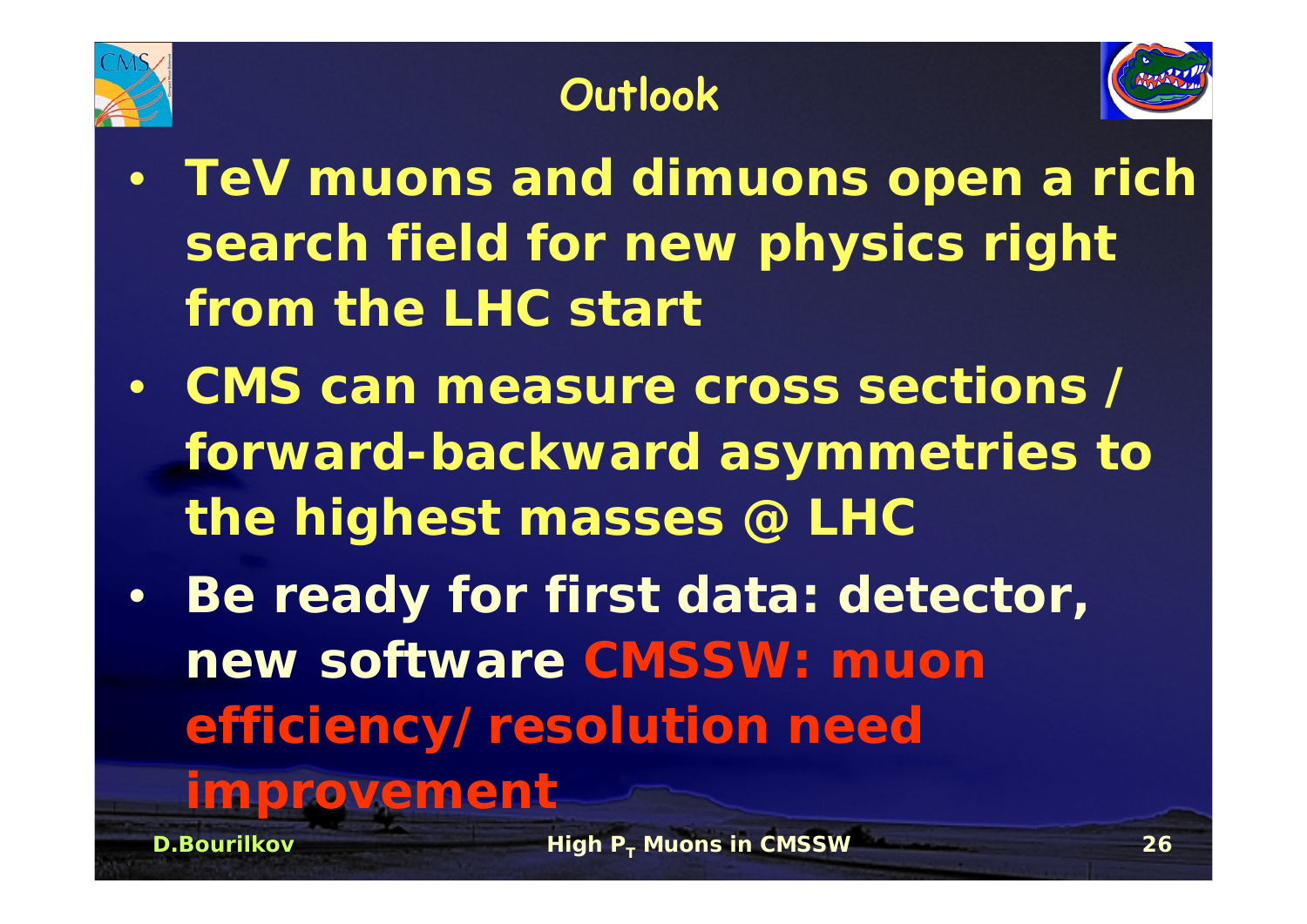

## **Outlook**



- • **TeV muons and dimuons open a rich search field for new physics right from the LHC start**
- **CMS can measure cross sections / forward-backward asymmetries to the highest masses @ LHC**
- • **Be ready for first data: detector, new software CMSSW: muonefficiency/resolution need**

## **improvement**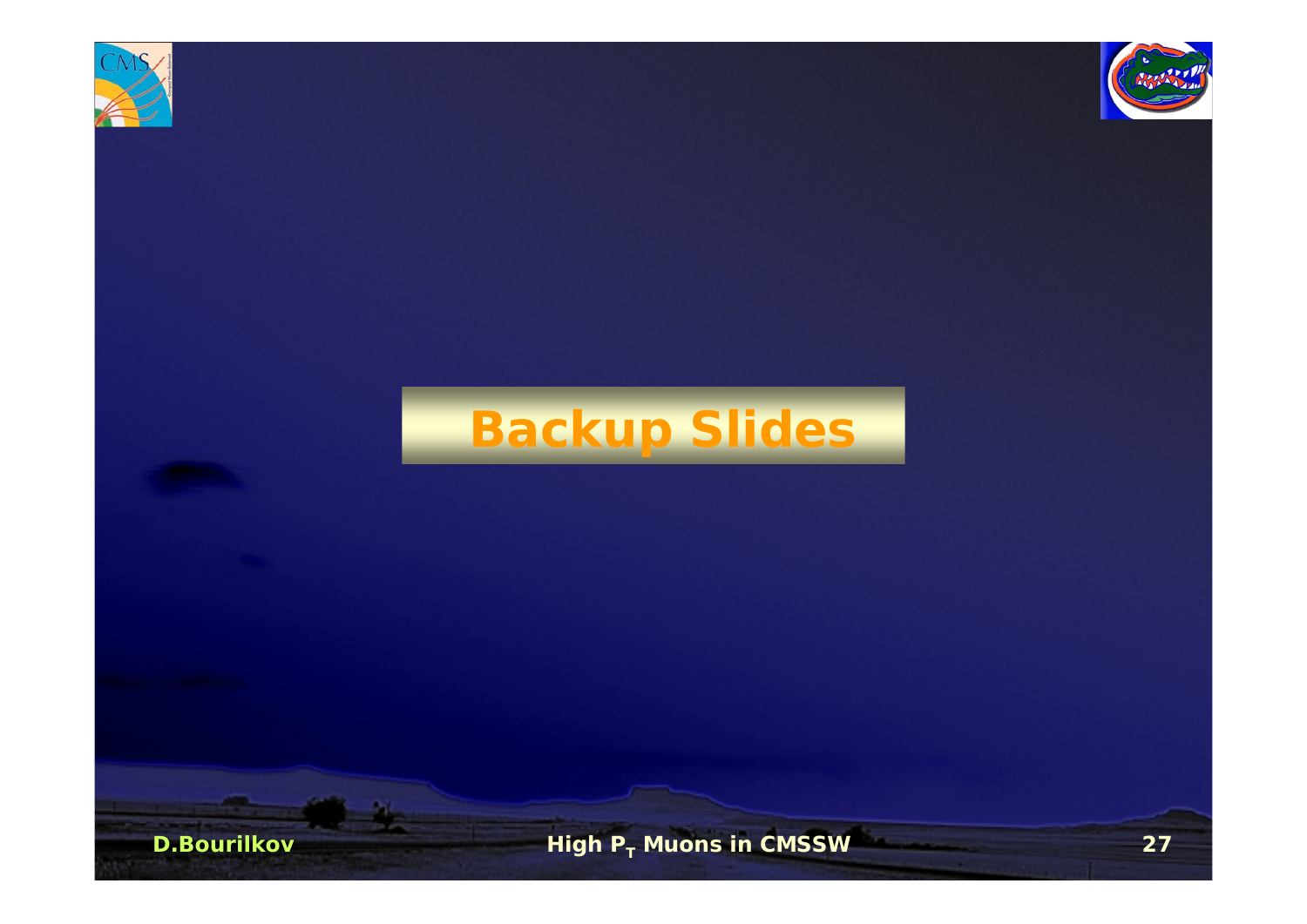



## **Backup Slides**

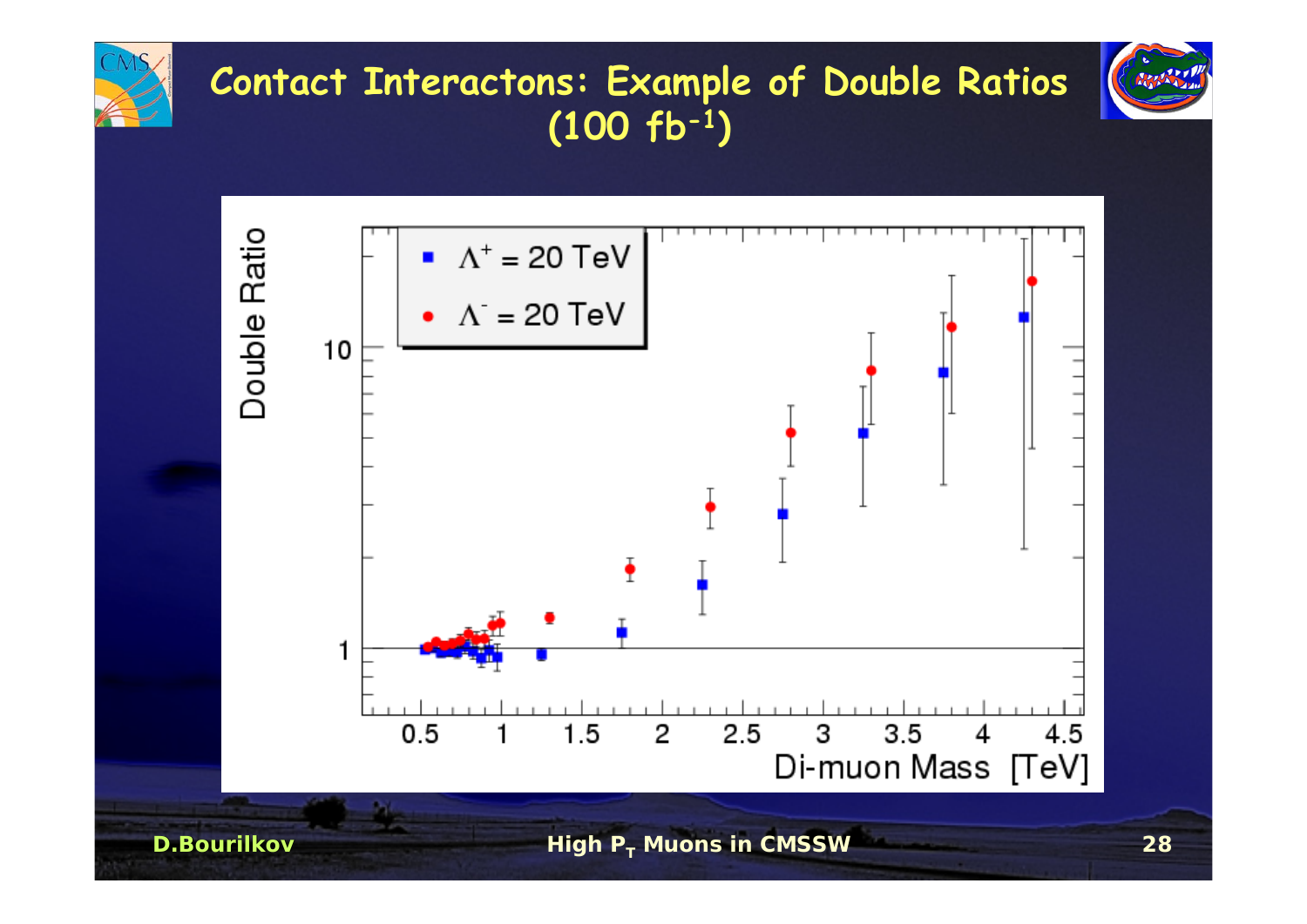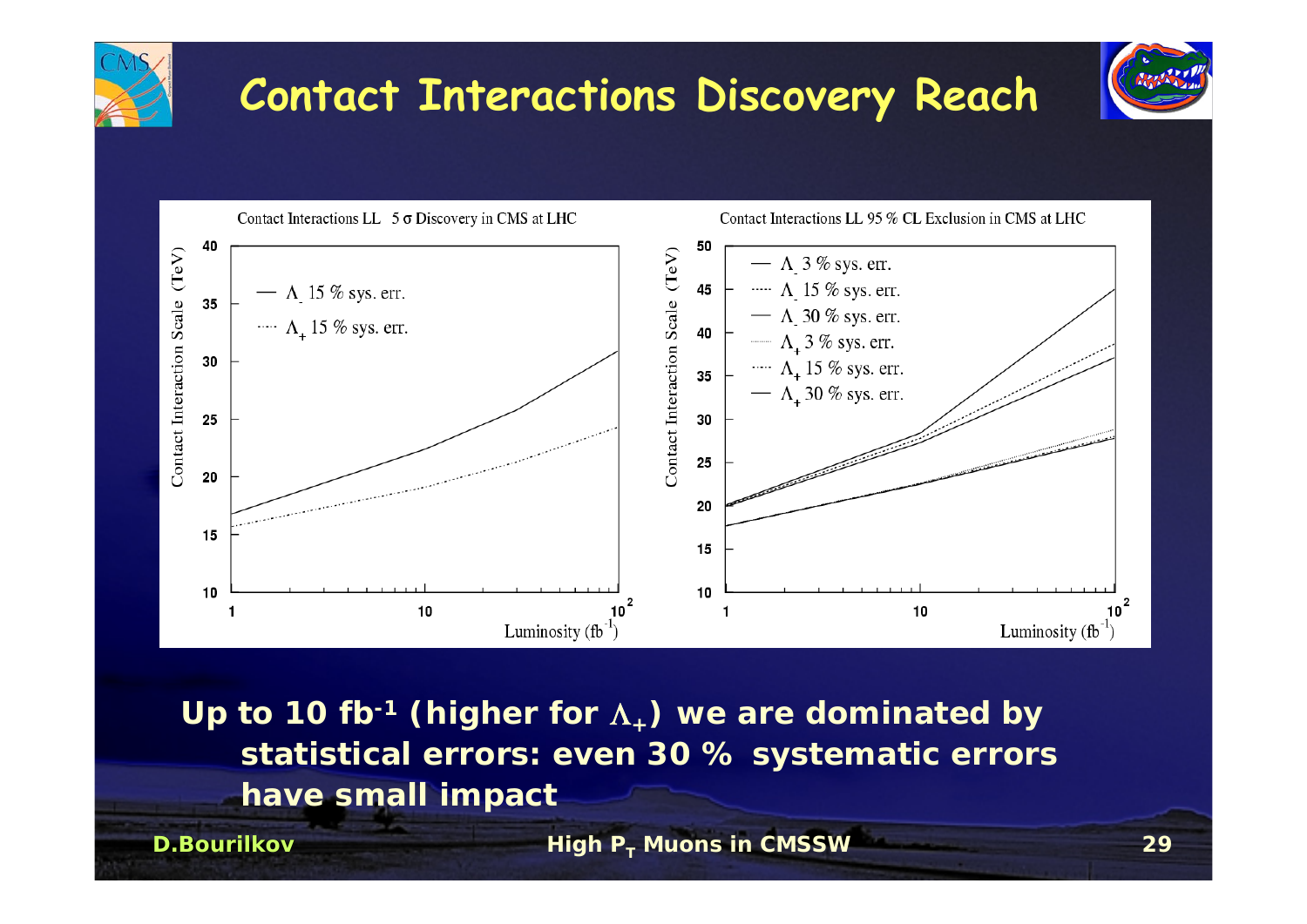

**Up to 10 fb-1 (higher for** Λ**+) we are dominated by statistical errors: even 30 % systematic errors have small impact** 

**D.Bourilkov**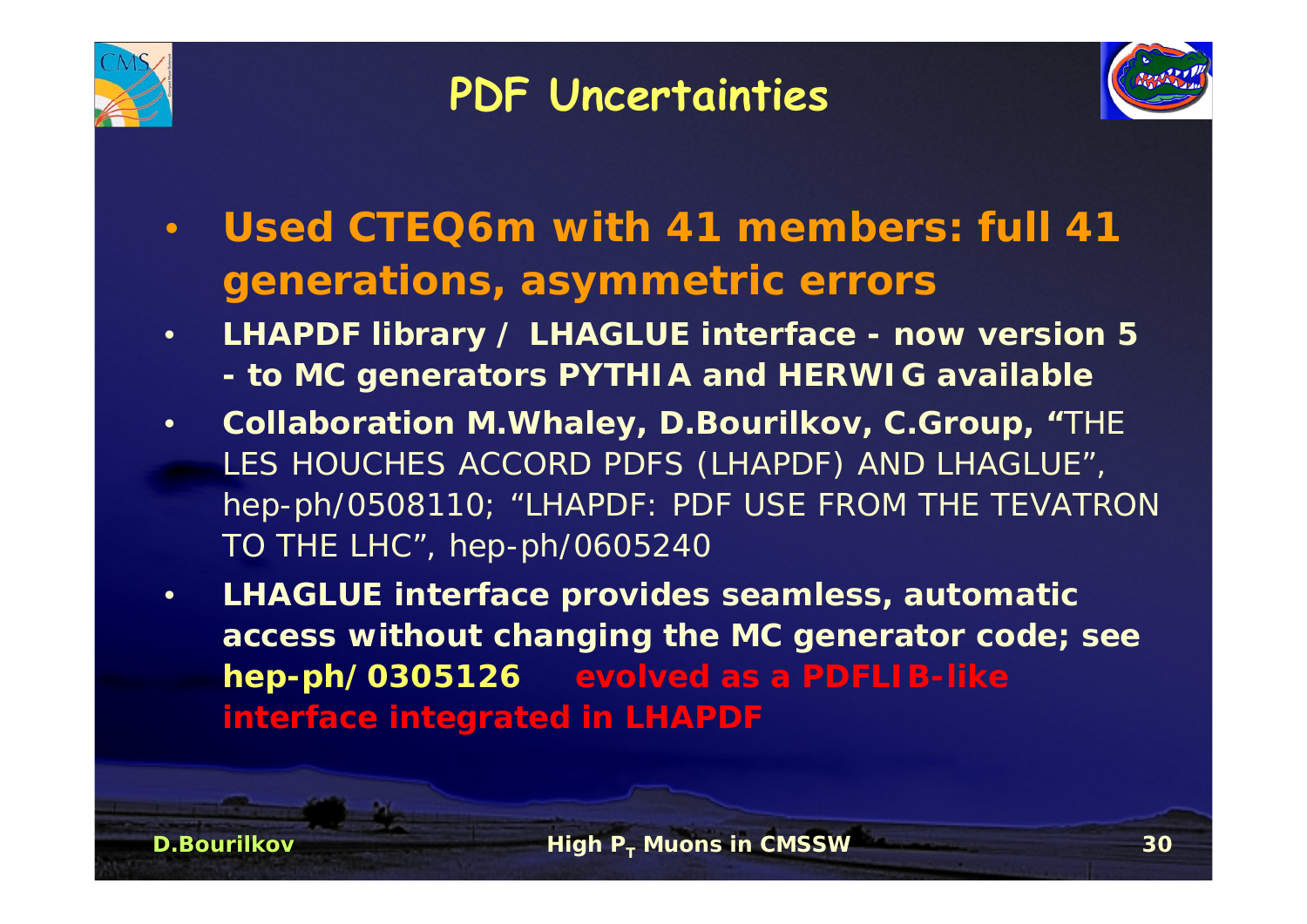

**D.Bourilkov**

## **PDF Uncertainties**



- • **Used CTEQ6m with 41 members: full 41 generations, asymmetric errors**
- • **LHAPDF library / LHAGLUE interface - now version 5 to MC generators PYTHIA and HERWIG available**
- • **Collaboration M.Whaley, D.Bourilkov, C.Group, "**THE LES HOUCHES ACCORD PDFS (LHAPDF) AND LHAGLUE", hep-ph/0508110; "LHAPDF: PDF USE FROM THE TEVATRON TO THE LHC", hep-ph/0605240
- • **LHAGLUE interface provides seamless, automatic access without changing the MC generator code; see hep-ph/0305126 evolved as a PDFLIB-like interface integrated in LHAPDF**